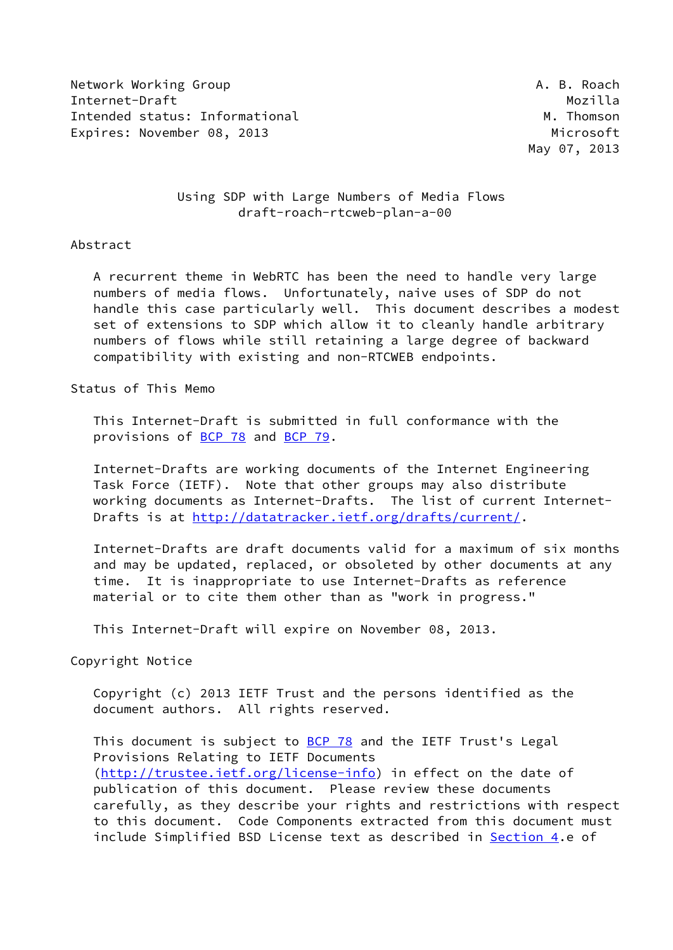Network Working Group **A. B. Roach** Internet-Draft Mozilla Intended status: Informational M. Thomson Expires: November 08, 2013 Microsoft Museum Microsoft

May 07, 2013

 Using SDP with Large Numbers of Media Flows draft-roach-rtcweb-plan-a-00

#### Abstract

 A recurrent theme in WebRTC has been the need to handle very large numbers of media flows. Unfortunately, naive uses of SDP do not handle this case particularly well. This document describes a modest set of extensions to SDP which allow it to cleanly handle arbitrary numbers of flows while still retaining a large degree of backward compatibility with existing and non-RTCWEB endpoints.

Status of This Memo

 This Internet-Draft is submitted in full conformance with the provisions of [BCP 78](https://datatracker.ietf.org/doc/pdf/bcp78) and [BCP 79](https://datatracker.ietf.org/doc/pdf/bcp79).

 Internet-Drafts are working documents of the Internet Engineering Task Force (IETF). Note that other groups may also distribute working documents as Internet-Drafts. The list of current Internet Drafts is at<http://datatracker.ietf.org/drafts/current/>.

 Internet-Drafts are draft documents valid for a maximum of six months and may be updated, replaced, or obsoleted by other documents at any time. It is inappropriate to use Internet-Drafts as reference material or to cite them other than as "work in progress."

This Internet-Draft will expire on November 08, 2013.

Copyright Notice

 Copyright (c) 2013 IETF Trust and the persons identified as the document authors. All rights reserved.

This document is subject to **[BCP 78](https://datatracker.ietf.org/doc/pdf/bcp78)** and the IETF Trust's Legal Provisions Relating to IETF Documents [\(http://trustee.ietf.org/license-info](http://trustee.ietf.org/license-info)) in effect on the date of publication of this document. Please review these documents carefully, as they describe your rights and restrictions with respect to this document. Code Components extracted from this document must include Simplified BSD License text as described in [Section 4.](#page-5-0)e of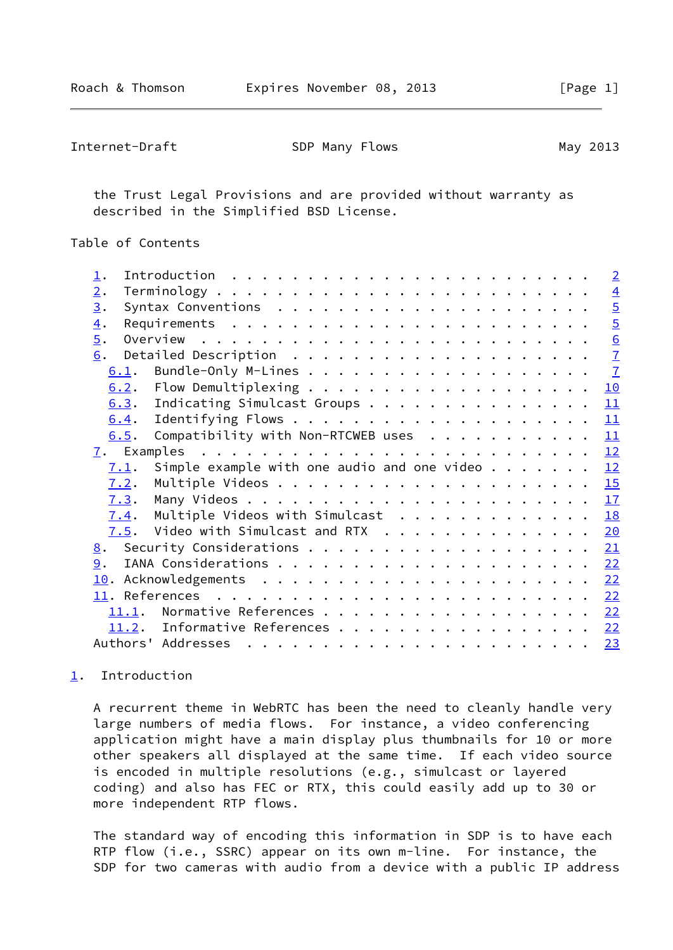<span id="page-1-1"></span>

| Internet-Draft | SDP Many Flows | May 2013 |
|----------------|----------------|----------|
|----------------|----------------|----------|

 the Trust Legal Provisions and are provided without warranty as described in the Simplified BSD License.

# Table of Contents

| $\perp$ .        |                                                     |  |  |  |  |  |  |  |  |  | $\sqrt{2}$     |
|------------------|-----------------------------------------------------|--|--|--|--|--|--|--|--|--|----------------|
| 2.               |                                                     |  |  |  |  |  |  |  |  |  | $\overline{4}$ |
| 3.               |                                                     |  |  |  |  |  |  |  |  |  | $\overline{5}$ |
| $\overline{4}$ . |                                                     |  |  |  |  |  |  |  |  |  | $\overline{5}$ |
| $\overline{5}$ . |                                                     |  |  |  |  |  |  |  |  |  | 6              |
| 6.               |                                                     |  |  |  |  |  |  |  |  |  | $\overline{1}$ |
| 6.1.             |                                                     |  |  |  |  |  |  |  |  |  | $\overline{1}$ |
| 6.2.             |                                                     |  |  |  |  |  |  |  |  |  | 10             |
| 6.3.             | Indicating Simulcast Groups                         |  |  |  |  |  |  |  |  |  | 11             |
| 6.4.             |                                                     |  |  |  |  |  |  |  |  |  | 11             |
| 6.5.             | Compatibility with Non-RTCWEB uses                  |  |  |  |  |  |  |  |  |  | 11             |
|                  |                                                     |  |  |  |  |  |  |  |  |  | 12             |
|                  |                                                     |  |  |  |  |  |  |  |  |  |                |
| 7.1.             | Simple example with one audio and one video $\dots$ |  |  |  |  |  |  |  |  |  | 12             |
| 7.2.             |                                                     |  |  |  |  |  |  |  |  |  | 15             |
| 7.3.             |                                                     |  |  |  |  |  |  |  |  |  |                |
| 7.4.             | Multiple Videos with Simulcast                      |  |  |  |  |  |  |  |  |  | 18             |
| 7.5.             | Video with Simulcast and RTX 20                     |  |  |  |  |  |  |  |  |  |                |
|                  |                                                     |  |  |  |  |  |  |  |  |  | 21             |
| 9.               |                                                     |  |  |  |  |  |  |  |  |  | 22             |
|                  |                                                     |  |  |  |  |  |  |  |  |  | <u>22</u>      |
|                  |                                                     |  |  |  |  |  |  |  |  |  | 22             |
|                  | 11.1. Normative References                          |  |  |  |  |  |  |  |  |  | 22             |
|                  | 11.2. Informative References 22                     |  |  |  |  |  |  |  |  |  |                |

## <span id="page-1-0"></span>[1](#page-1-0). Introduction

 A recurrent theme in WebRTC has been the need to cleanly handle very large numbers of media flows. For instance, a video conferencing application might have a main display plus thumbnails for 10 or more other speakers all displayed at the same time. If each video source is encoded in multiple resolutions (e.g., simulcast or layered coding) and also has FEC or RTX, this could easily add up to 30 or more independent RTP flows.

 The standard way of encoding this information in SDP is to have each RTP flow (i.e., SSRC) appear on its own m-line. For instance, the SDP for two cameras with audio from a device with a public IP address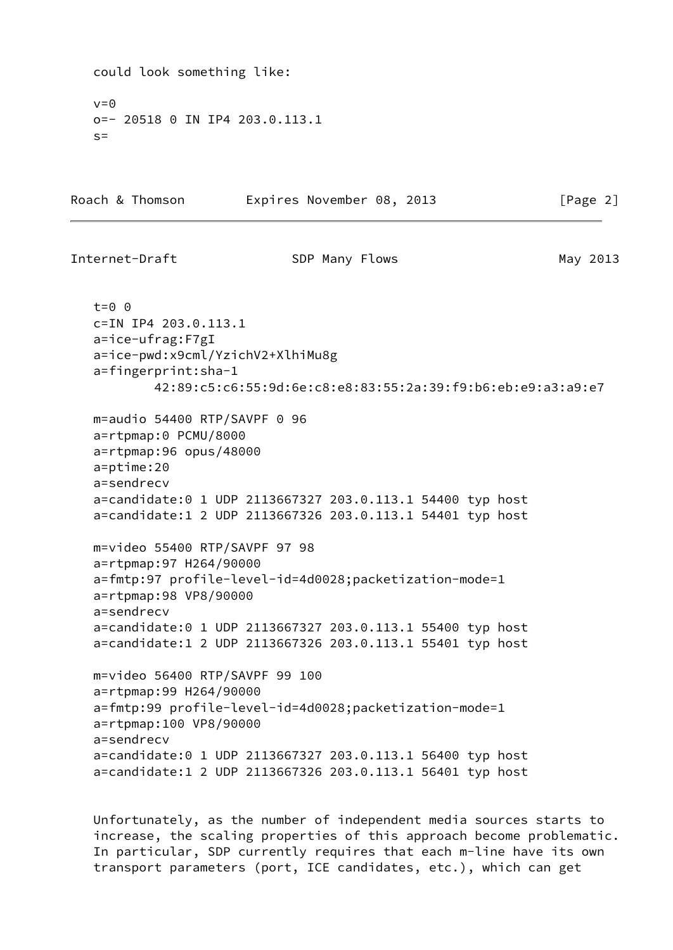```
 could look something like:
  v=0 o=- 20518 0 IN IP4 203.0.113.1
  S =Roach & Thomson Expires November 08, 2013 [Page 2]
Internet-Draft SDP Many Flows SDP Many 2013
   t=0 0
   c=IN IP4 203.0.113.1
   a=ice-ufrag:F7gI
   a=ice-pwd:x9cml/YzichV2+XlhiMu8g
   a=fingerprint:sha-1
           42:89:c5:c6:55:9d:6e:c8:e8:83:55:2a:39:f9:b6:eb:e9:a3:a9:e7
   m=audio 54400 RTP/SAVPF 0 96
   a=rtpmap:0 PCMU/8000
   a=rtpmap:96 opus/48000
   a=ptime:20
   a=sendrecv
   a=candidate:0 1 UDP 2113667327 203.0.113.1 54400 typ host
   a=candidate:1 2 UDP 2113667326 203.0.113.1 54401 typ host
   m=video 55400 RTP/SAVPF 97 98
   a=rtpmap:97 H264/90000
   a=fmtp:97 profile-level-id=4d0028;packetization-mode=1
   a=rtpmap:98 VP8/90000
   a=sendrecv
   a=candidate:0 1 UDP 2113667327 203.0.113.1 55400 typ host
   a=candidate:1 2 UDP 2113667326 203.0.113.1 55401 typ host
   m=video 56400 RTP/SAVPF 99 100
   a=rtpmap:99 H264/90000
   a=fmtp:99 profile-level-id=4d0028;packetization-mode=1
   a=rtpmap:100 VP8/90000
   a=sendrecv
   a=candidate:0 1 UDP 2113667327 203.0.113.1 56400 typ host
   a=candidate:1 2 UDP 2113667326 203.0.113.1 56401 typ host
```
 Unfortunately, as the number of independent media sources starts to increase, the scaling properties of this approach become problematic. In particular, SDP currently requires that each m-line have its own transport parameters (port, ICE candidates, etc.), which can get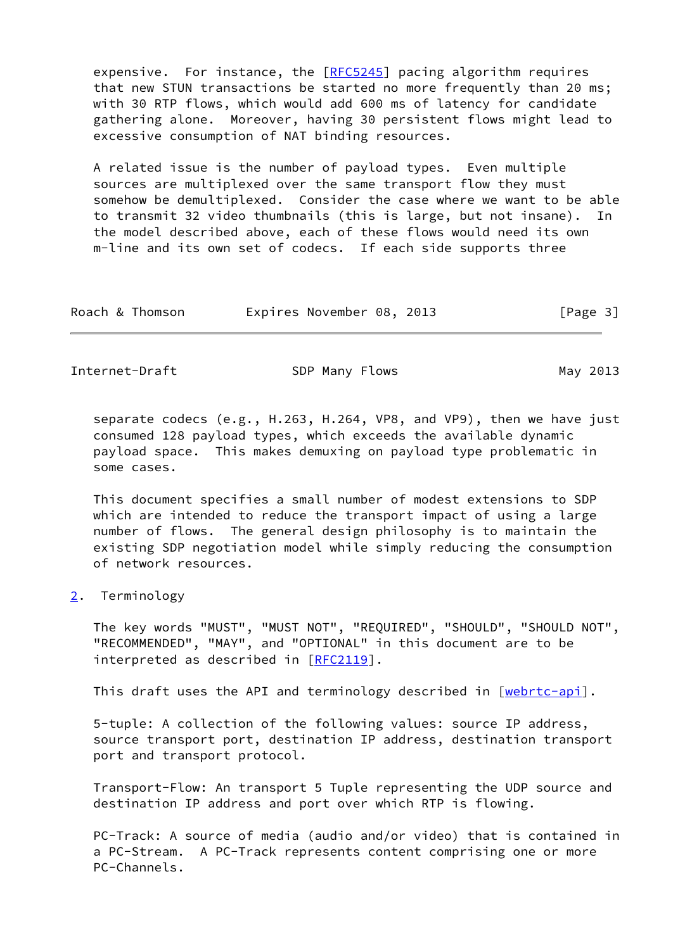expensive. For instance, the [[RFC5245](https://datatracker.ietf.org/doc/pdf/rfc5245)] pacing algorithm requires that new STUN transactions be started no more frequently than 20 ms; with 30 RTP flows, which would add 600 ms of latency for candidate gathering alone. Moreover, having 30 persistent flows might lead to excessive consumption of NAT binding resources.

 A related issue is the number of payload types. Even multiple sources are multiplexed over the same transport flow they must somehow be demultiplexed. Consider the case where we want to be able to transmit 32 video thumbnails (this is large, but not insane). In the model described above, each of these flows would need its own m-line and its own set of codecs. If each side supports three

| Roach & Thomson |  | Expires November 08, 2013 |  |  | [Page 3] |  |
|-----------------|--|---------------------------|--|--|----------|--|
|-----------------|--|---------------------------|--|--|----------|--|

<span id="page-3-1"></span>Internet-Draft SDP Many Flows SDP Many 2013

 separate codecs (e.g., H.263, H.264, VP8, and VP9), then we have just consumed 128 payload types, which exceeds the available dynamic payload space. This makes demuxing on payload type problematic in some cases.

 This document specifies a small number of modest extensions to SDP which are intended to reduce the transport impact of using a large number of flows. The general design philosophy is to maintain the existing SDP negotiation model while simply reducing the consumption of network resources.

<span id="page-3-0"></span>[2](#page-3-0). Terminology

 The key words "MUST", "MUST NOT", "REQUIRED", "SHOULD", "SHOULD NOT", "RECOMMENDED", "MAY", and "OPTIONAL" in this document are to be interpreted as described in [\[RFC2119](https://datatracker.ietf.org/doc/pdf/rfc2119)].

This draft uses the API and terminology described in [\[webrtc-api\]](#page-25-0).

 5-tuple: A collection of the following values: source IP address, source transport port, destination IP address, destination transport port and transport protocol.

 Transport-Flow: An transport 5 Tuple representing the UDP source and destination IP address and port over which RTP is flowing.

 PC-Track: A source of media (audio and/or video) that is contained in a PC-Stream. A PC-Track represents content comprising one or more PC-Channels.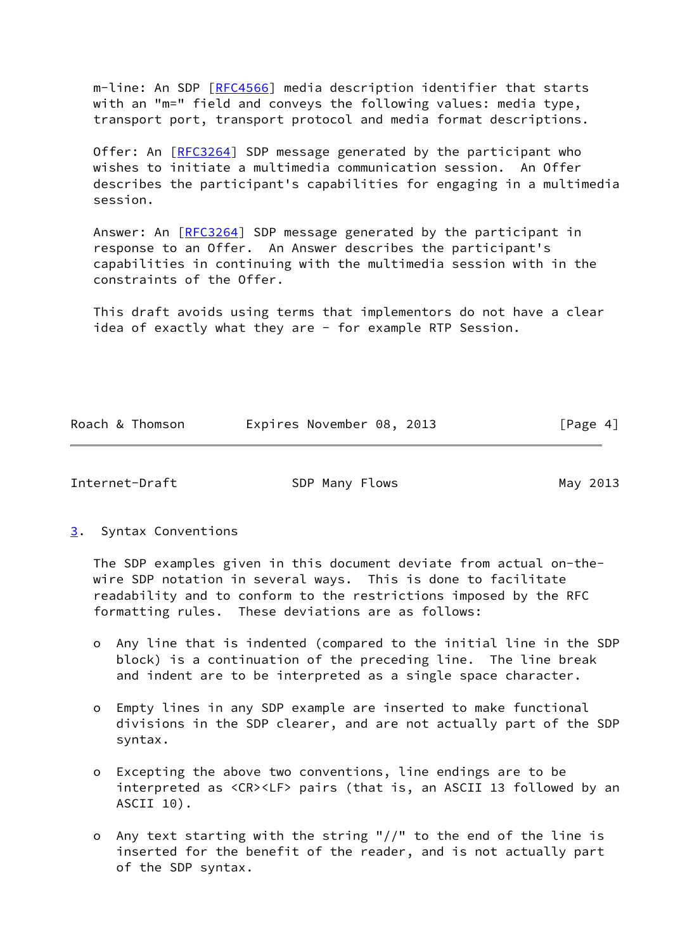m-line: An SDP [\[RFC4566](https://datatracker.ietf.org/doc/pdf/rfc4566)] media description identifier that starts with an "m=" field and conveys the following values: media type, transport port, transport protocol and media format descriptions.

Offer: An [[RFC3264](https://datatracker.ietf.org/doc/pdf/rfc3264)] SDP message generated by the participant who wishes to initiate a multimedia communication session. An Offer describes the participant's capabilities for engaging in a multimedia session.

 Answer: An [[RFC3264\]](https://datatracker.ietf.org/doc/pdf/rfc3264) SDP message generated by the participant in response to an Offer. An Answer describes the participant's capabilities in continuing with the multimedia session with in the constraints of the Offer.

 This draft avoids using terms that implementors do not have a clear idea of exactly what they are - for example RTP Session.

|  | Roach & Thomson | Expires November 08, 2013 |  | [Page 4] |  |
|--|-----------------|---------------------------|--|----------|--|
|  |                 |                           |  |          |  |

<span id="page-4-1"></span>Internet-Draft SDP Many Flows SDP Many 2013

<span id="page-4-0"></span>[3](#page-4-0). Syntax Conventions

 The SDP examples given in this document deviate from actual on-the wire SDP notation in several ways. This is done to facilitate readability and to conform to the restrictions imposed by the RFC formatting rules. These deviations are as follows:

- o Any line that is indented (compared to the initial line in the SDP block) is a continuation of the preceding line. The line break and indent are to be interpreted as a single space character.
- o Empty lines in any SDP example are inserted to make functional divisions in the SDP clearer, and are not actually part of the SDP syntax.
- o Excepting the above two conventions, line endings are to be interpreted as <CR><LF> pairs (that is, an ASCII 13 followed by an ASCII 10).
- o Any text starting with the string "//" to the end of the line is inserted for the benefit of the reader, and is not actually part of the SDP syntax.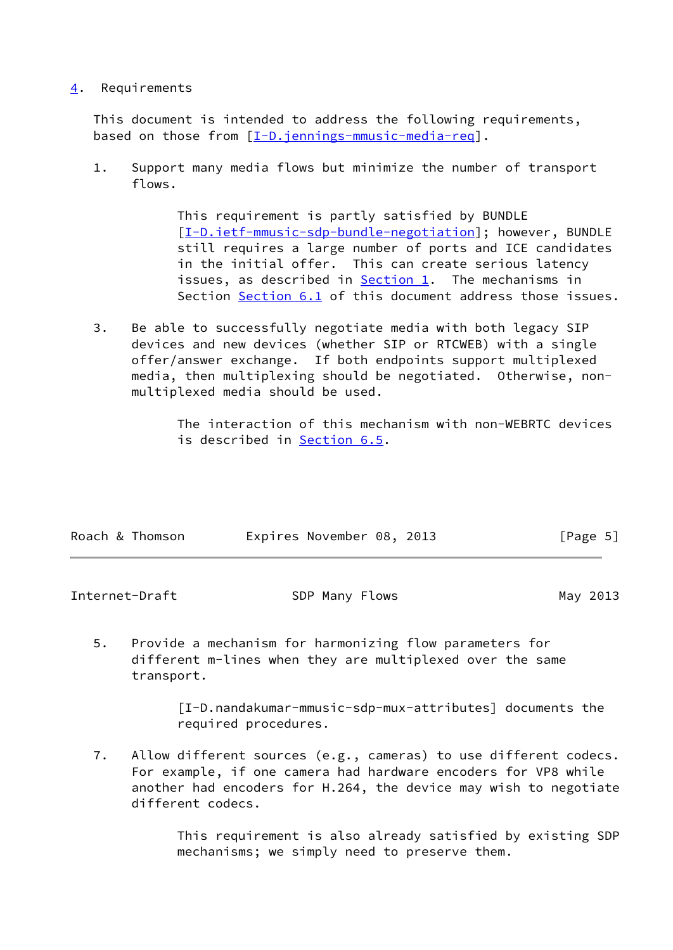# <span id="page-5-0"></span>[4](#page-5-0). Requirements

 This document is intended to address the following requirements, based on those from [\[I-D.jennings-mmusic-media-req](#page-24-4)].

 1. Support many media flows but minimize the number of transport flows.

> This requirement is partly satisfied by BUNDLE [[I-D.ietf-mmusic-sdp-bundle-negotiation](#page-24-5)]; however, BUNDLE still requires a large number of ports and ICE candidates in the initial offer. This can create serious latency issues, as described in  $Section 1$ . The mechanisms in Section [Section 6.1](#page-7-1) of this document address those issues.

 3. Be able to successfully negotiate media with both legacy SIP devices and new devices (whether SIP or RTCWEB) with a single offer/answer exchange. If both endpoints support multiplexed media, then multiplexing should be negotiated. Otherwise, non multiplexed media should be used.

> The interaction of this mechanism with non-WEBRTC devices is described in [Section 6.5](#page-12-1).

| Roach & Thomson | Expires November 08, 2013 |  | [Page 5] |  |
|-----------------|---------------------------|--|----------|--|
|                 |                           |  |          |  |

<span id="page-5-1"></span>Internet-Draft SDP Many Flows SDP Many 2013

 5. Provide a mechanism for harmonizing flow parameters for different m-lines when they are multiplexed over the same transport.

> [I-D.nandakumar-mmusic-sdp-mux-attributes] documents the required procedures.

 7. Allow different sources (e.g., cameras) to use different codecs. For example, if one camera had hardware encoders for VP8 while another had encoders for H.264, the device may wish to negotiate different codecs.

> This requirement is also already satisfied by existing SDP mechanisms; we simply need to preserve them.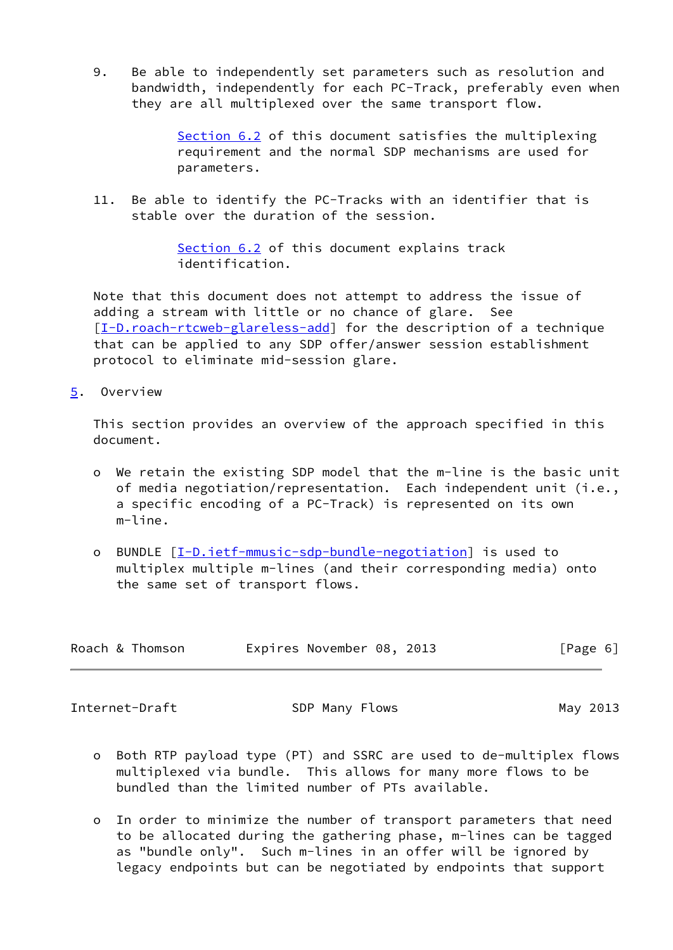9. Be able to independently set parameters such as resolution and bandwidth, independently for each PC-Track, preferably even when they are all multiplexed over the same transport flow.

> [Section 6.2](#page-10-0) of this document satisfies the multiplexing requirement and the normal SDP mechanisms are used for parameters.

 11. Be able to identify the PC-Tracks with an identifier that is stable over the duration of the session.

> [Section 6.2](#page-10-0) of this document explains track identification.

 Note that this document does not attempt to address the issue of adding a stream with little or no chance of glare. See [\[I-D.roach-rtcweb-glareless-add](#page-25-1)] for the description of a technique that can be applied to any SDP offer/answer session establishment protocol to eliminate mid-session glare.

<span id="page-6-0"></span>[5](#page-6-0). Overview

 This section provides an overview of the approach specified in this document.

- o We retain the existing SDP model that the m-line is the basic unit of media negotiation/representation. Each independent unit (i.e., a specific encoding of a PC-Track) is represented on its own m-line.
- o BUNDLE [[I-D.ietf-mmusic-sdp-bundle-negotiation](#page-24-5)] is used to multiplex multiple m-lines (and their corresponding media) onto the same set of transport flows.

| Roach & Thomson |  | Expires November 08, 2013 |  |  | [Page 6] |  |
|-----------------|--|---------------------------|--|--|----------|--|
|-----------------|--|---------------------------|--|--|----------|--|

<span id="page-6-1"></span>Internet-Draft SDP Many Flows SDP Many 2013

- o Both RTP payload type (PT) and SSRC are used to de-multiplex flows multiplexed via bundle. This allows for many more flows to be bundled than the limited number of PTs available.
- o In order to minimize the number of transport parameters that need to be allocated during the gathering phase, m-lines can be tagged as "bundle only". Such m-lines in an offer will be ignored by legacy endpoints but can be negotiated by endpoints that support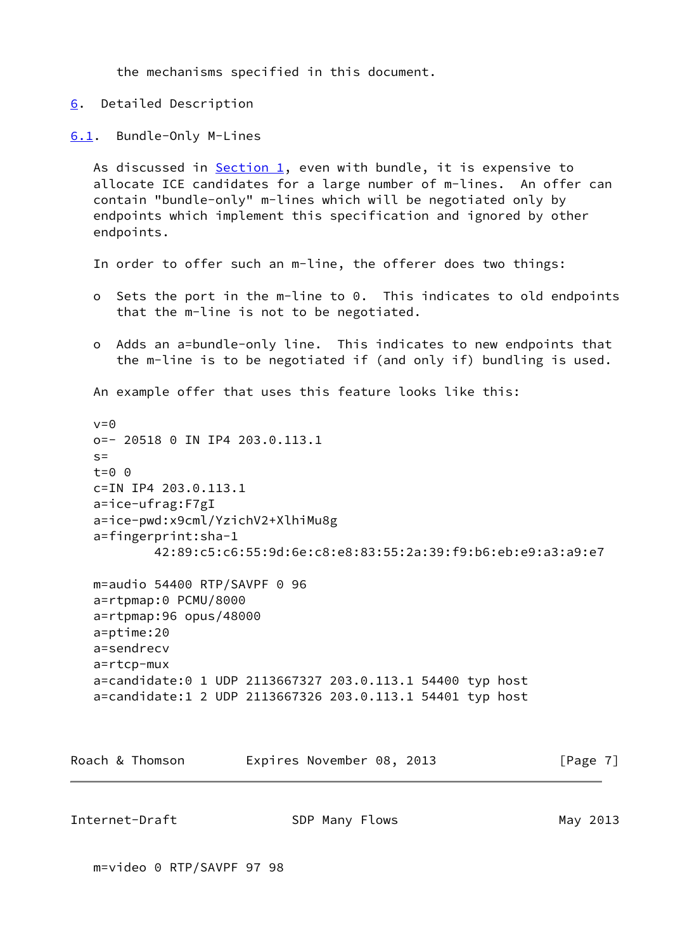the mechanisms specified in this document.

<span id="page-7-0"></span>[6](#page-7-0). Detailed Description

<span id="page-7-1"></span>[6.1](#page-7-1). Bundle-Only M-Lines

As discussed in [Section 1](#page-1-0), even with bundle, it is expensive to allocate ICE candidates for a large number of m-lines. An offer can contain "bundle-only" m-lines which will be negotiated only by endpoints which implement this specification and ignored by other endpoints.

In order to offer such an m-line, the offerer does two things:

- o Sets the port in the m-line to 0. This indicates to old endpoints that the m-line is not to be negotiated.
- o Adds an a=bundle-only line. This indicates to new endpoints that the m-line is to be negotiated if (and only if) bundling is used.

An example offer that uses this feature looks like this:

```
v = \Theta o=- 20518 0 IN IP4 203.0.113.1
s=t=0 \theta c=IN IP4 203.0.113.1
 a=ice-ufrag:F7gI
 a=ice-pwd:x9cml/YzichV2+XlhiMu8g
 a=fingerprint:sha-1
         42:89:c5:c6:55:9d:6e:c8:e8:83:55:2a:39:f9:b6:eb:e9:a3:a9:e7
```

```
 m=audio 54400 RTP/SAVPF 0 96
 a=rtpmap:0 PCMU/8000
 a=rtpmap:96 opus/48000
 a=ptime:20
 a=sendrecv
 a=rtcp-mux
 a=candidate:0 1 UDP 2113667327 203.0.113.1 54400 typ host
 a=candidate:1 2 UDP 2113667326 203.0.113.1 54401 typ host
```

| Expires November 08, 2013 |  |  | Roach & Thomson |  |  |  |  | [Page 7] |  |
|---------------------------|--|--|-----------------|--|--|--|--|----------|--|
|---------------------------|--|--|-----------------|--|--|--|--|----------|--|

Internet-Draft SDP Many Flows SDP Many 2013

m=video 0 RTP/SAVPF 97 98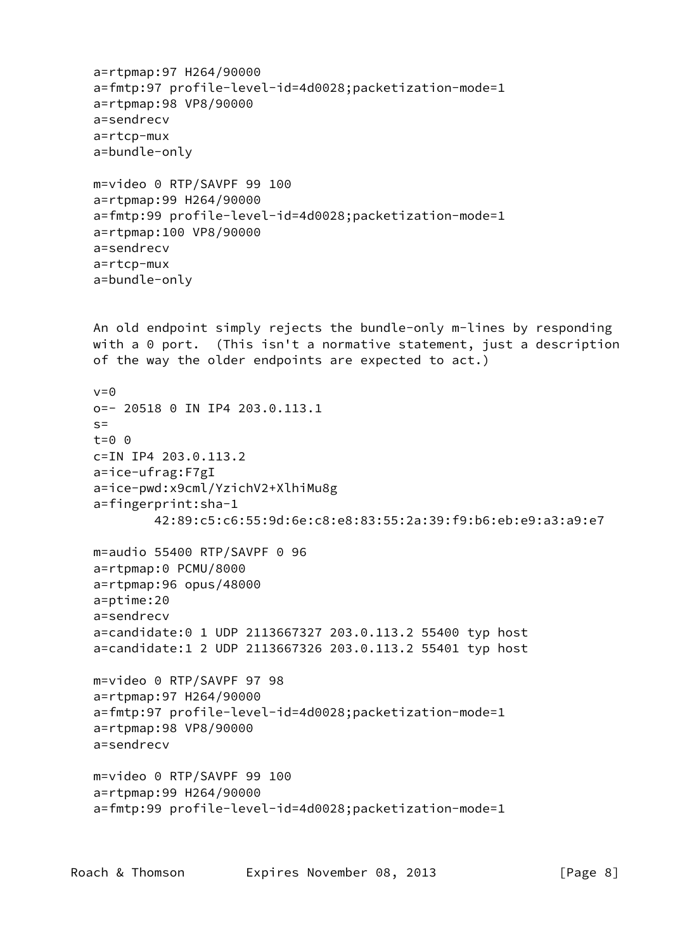```
 a=rtpmap:97 H264/90000
 a=fmtp:97 profile-level-id=4d0028;packetization-mode=1
 a=rtpmap:98 VP8/90000
 a=sendrecv
 a=rtcp-mux
 a=bundle-only
 m=video 0 RTP/SAVPF 99 100
 a=rtpmap:99 H264/90000
 a=fmtp:99 profile-level-id=4d0028;packetization-mode=1
 a=rtpmap:100 VP8/90000
 a=sendrecv
 a=rtcp-mux
 a=bundle-only
 An old endpoint simply rejects the bundle-only m-lines by responding
with a 0 port. (This isn't a normative statement, just a description
 of the way the older endpoints are expected to act.)
v=0 o=- 20518 0 IN IP4 203.0.113.1
s= t=0 0
 c=IN IP4 203.0.113.2
 a=ice-ufrag:F7gI
 a=ice-pwd:x9cml/YzichV2+XlhiMu8g
 a=fingerprint:sha-1
         42:89:c5:c6:55:9d:6e:c8:e8:83:55:2a:39:f9:b6:eb:e9:a3:a9:e7
 m=audio 55400 RTP/SAVPF 0 96
 a=rtpmap:0 PCMU/8000
 a=rtpmap:96 opus/48000
 a=ptime:20
 a=sendrecv
 a=candidate:0 1 UDP 2113667327 203.0.113.2 55400 typ host
 a=candidate:1 2 UDP 2113667326 203.0.113.2 55401 typ host
 m=video 0 RTP/SAVPF 97 98
 a=rtpmap:97 H264/90000
 a=fmtp:97 profile-level-id=4d0028;packetization-mode=1
 a=rtpmap:98 VP8/90000
 a=sendrecv
 m=video 0 RTP/SAVPF 99 100
 a=rtpmap:99 H264/90000
 a=fmtp:99 profile-level-id=4d0028;packetization-mode=1
```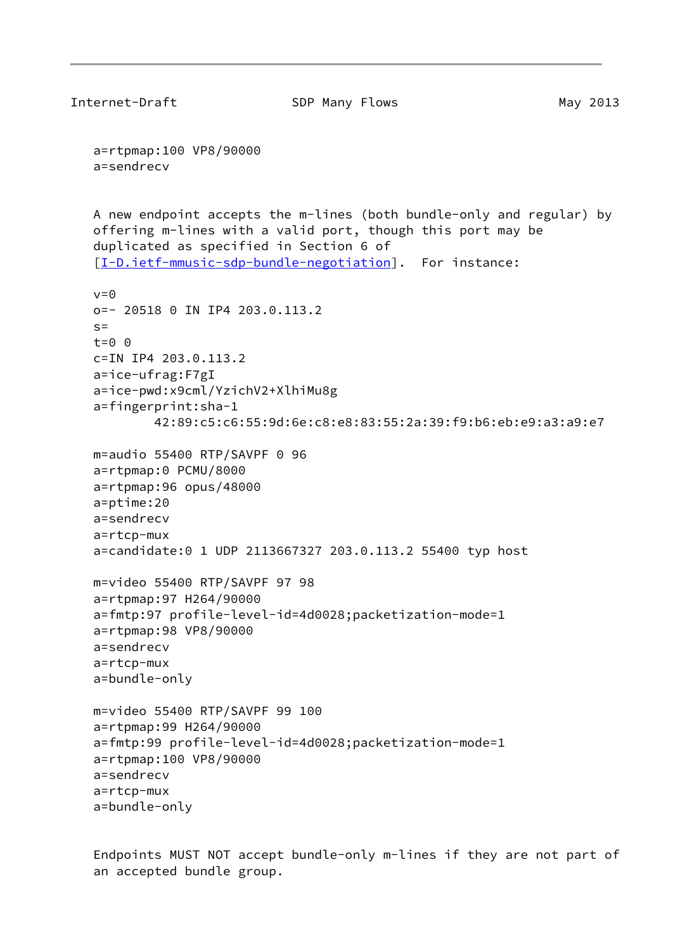```
Internet-Draft SDP Many Flows SDP Many 2013
    a=rtpmap:100 VP8/90000
    a=sendrecv
    A new endpoint accepts the m-lines (both bundle-only and regular) by
    offering m-lines with a valid port, though this port may be
    duplicated as specified in Section 6 of
    [I-D.ietf-mmusic-sdp-bundle-negotiation]. For instance:
   v=0 o=- 20518 0 IN IP4 203.0.113.2
   s=t=0 \theta c=IN IP4 203.0.113.2
    a=ice-ufrag:F7gI
    a=ice-pwd:x9cml/YzichV2+XlhiMu8g
    a=fingerprint:sha-1
            42:89:c5:c6:55:9d:6e:c8:e8:83:55:2a:39:f9:b6:eb:e9:a3:a9:e7
    m=audio 55400 RTP/SAVPF 0 96
    a=rtpmap:0 PCMU/8000
    a=rtpmap:96 opus/48000
    a=ptime:20
    a=sendrecv
    a=rtcp-mux
    a=candidate:0 1 UDP 2113667327 203.0.113.2 55400 typ host
   m=video 55400 RTP/SAVPF 97 98
    a=rtpmap:97 H264/90000
    a=fmtp:97 profile-level-id=4d0028;packetization-mode=1
    a=rtpmap:98 VP8/90000
    a=sendrecv
    a=rtcp-mux
    a=bundle-only
   m=video 55400 RTP/SAVPF 99 100
    a=rtpmap:99 H264/90000
    a=fmtp:99 profile-level-id=4d0028;packetization-mode=1
    a=rtpmap:100 VP8/90000
    a=sendrecv
    a=rtcp-mux
    a=bundle-only
```
 Endpoints MUST NOT accept bundle-only m-lines if they are not part of an accepted bundle group.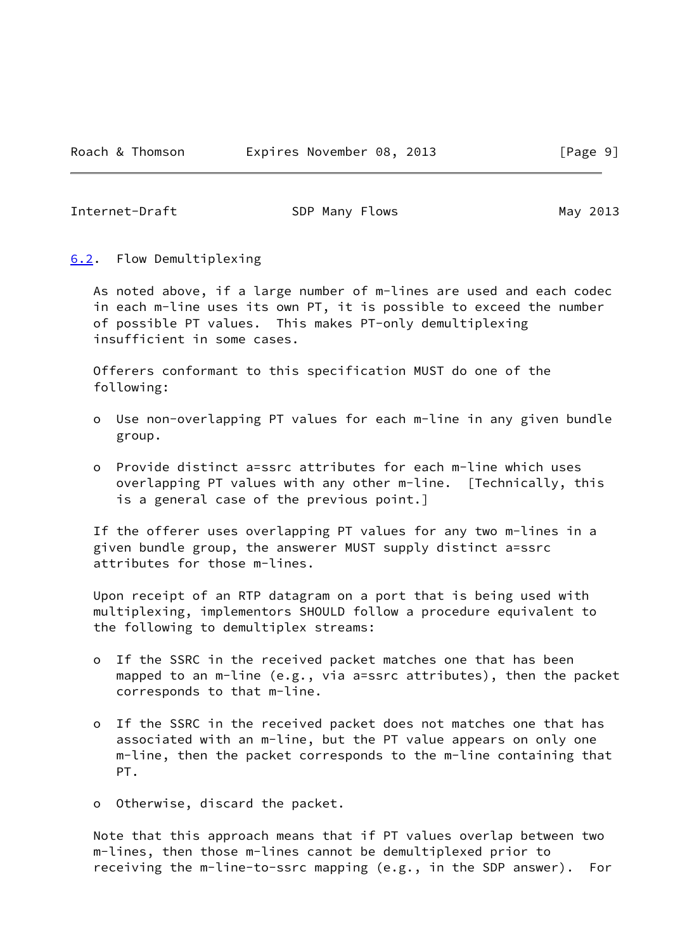<span id="page-10-1"></span>Internet-Draft SDP Many Flows SDP Many 2013

<span id="page-10-0"></span>[6.2](#page-10-0). Flow Demultiplexing

 As noted above, if a large number of m-lines are used and each codec in each m-line uses its own PT, it is possible to exceed the number of possible PT values. This makes PT-only demultiplexing insufficient in some cases.

 Offerers conformant to this specification MUST do one of the following:

- o Use non-overlapping PT values for each m-line in any given bundle group.
- o Provide distinct a=ssrc attributes for each m-line which uses overlapping PT values with any other m-line. [Technically, this is a general case of the previous point.]

 If the offerer uses overlapping PT values for any two m-lines in a given bundle group, the answerer MUST supply distinct a=ssrc attributes for those m-lines.

 Upon receipt of an RTP datagram on a port that is being used with multiplexing, implementors SHOULD follow a procedure equivalent to the following to demultiplex streams:

- o If the SSRC in the received packet matches one that has been mapped to an m-line (e.g., via a=ssrc attributes), then the packet corresponds to that m-line.
- o If the SSRC in the received packet does not matches one that has associated with an m-line, but the PT value appears on only one m-line, then the packet corresponds to the m-line containing that PT.
- o Otherwise, discard the packet.

 Note that this approach means that if PT values overlap between two m-lines, then those m-lines cannot be demultiplexed prior to receiving the m-line-to-ssrc mapping (e.g., in the SDP answer). For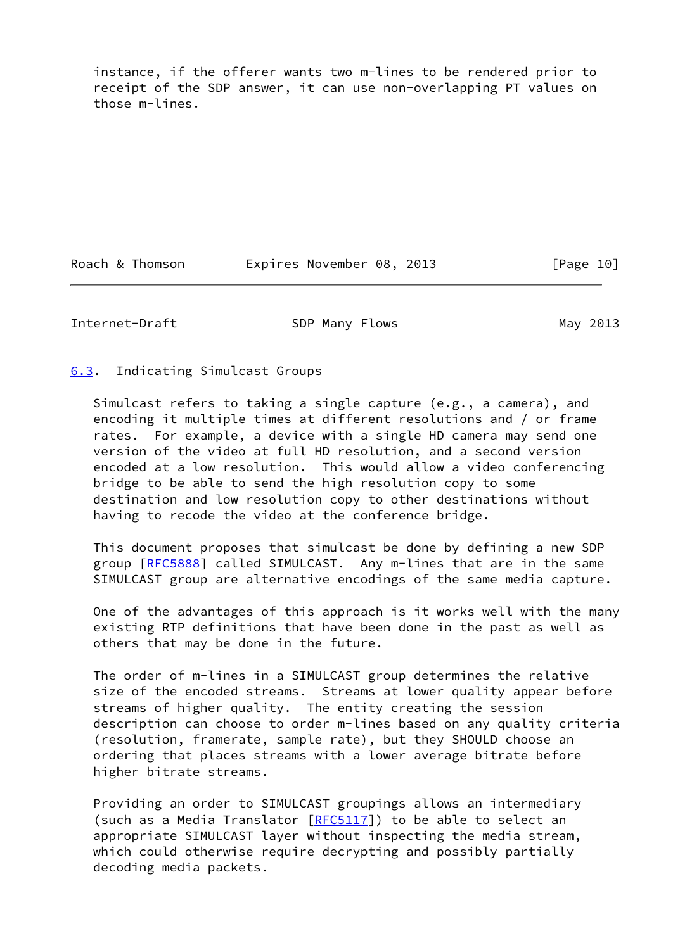instance, if the offerer wants two m-lines to be rendered prior to receipt of the SDP answer, it can use non-overlapping PT values on those m-lines.

Roach & Thomson **Expires November 08, 2013** [Page 10]

<span id="page-11-1"></span>Internet-Draft SDP Many Flows SDP Many 2013

<span id="page-11-0"></span>[6.3](#page-11-0). Indicating Simulcast Groups

 Simulcast refers to taking a single capture (e.g., a camera), and encoding it multiple times at different resolutions and / or frame rates. For example, a device with a single HD camera may send one version of the video at full HD resolution, and a second version encoded at a low resolution. This would allow a video conferencing bridge to be able to send the high resolution copy to some destination and low resolution copy to other destinations without having to recode the video at the conference bridge.

 This document proposes that simulcast be done by defining a new SDP group [[RFC5888](https://datatracker.ietf.org/doc/pdf/rfc5888)] called SIMULCAST. Any m-lines that are in the same SIMULCAST group are alternative encodings of the same media capture.

 One of the advantages of this approach is it works well with the many existing RTP definitions that have been done in the past as well as others that may be done in the future.

 The order of m-lines in a SIMULCAST group determines the relative size of the encoded streams. Streams at lower quality appear before streams of higher quality. The entity creating the session description can choose to order m-lines based on any quality criteria (resolution, framerate, sample rate), but they SHOULD choose an ordering that places streams with a lower average bitrate before higher bitrate streams.

 Providing an order to SIMULCAST groupings allows an intermediary (such as a Media Translator  $[REC5117]$ ) to be able to select an appropriate SIMULCAST layer without inspecting the media stream, which could otherwise require decrypting and possibly partially decoding media packets.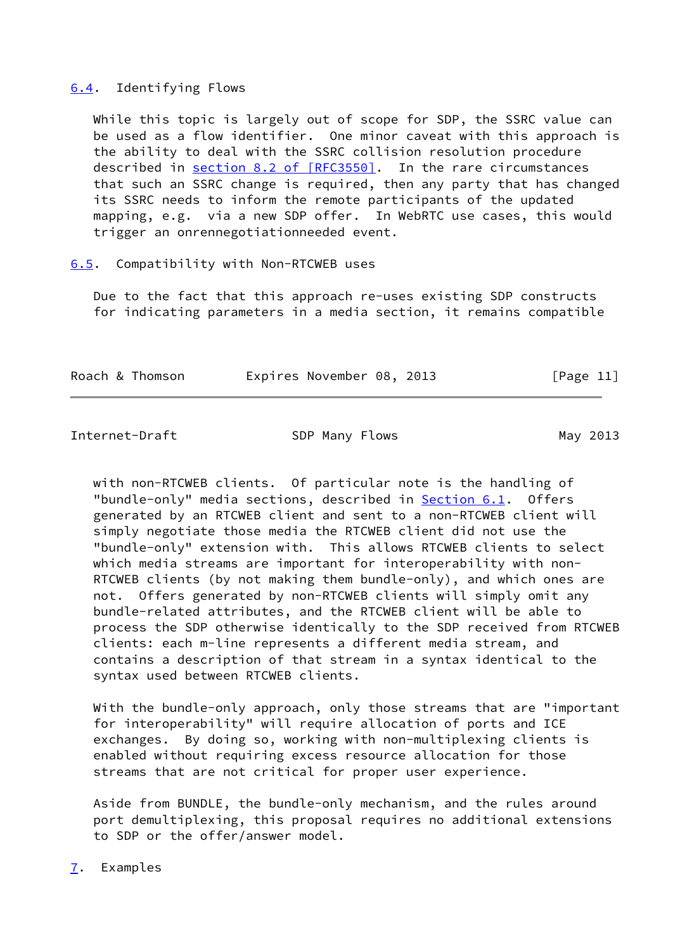## <span id="page-12-0"></span>[6.4](#page-12-0). Identifying Flows

 While this topic is largely out of scope for SDP, the SSRC value can be used as a flow identifier. One minor caveat with this approach is the ability to deal with the SSRC collision resolution procedure described in section [8.2 of \[RFC3550\]](https://datatracker.ietf.org/doc/pdf/rfc3550#section-8.2). In the rare circumstances that such an SSRC change is required, then any party that has changed its SSRC needs to inform the remote participants of the updated mapping, e.g. via a new SDP offer. In WebRTC use cases, this would trigger an onrennegotiationneeded event.

#### <span id="page-12-1"></span>[6.5](#page-12-1). Compatibility with Non-RTCWEB uses

 Due to the fact that this approach re-uses existing SDP constructs for indicating parameters in a media section, it remains compatible

| Roach & Thomson |  | Expires November 08, 2013 |  |  | [Page 11] |
|-----------------|--|---------------------------|--|--|-----------|
|-----------------|--|---------------------------|--|--|-----------|

<span id="page-12-3"></span>Internet-Draft SDP Many Flows SDP Many 2013

 with non-RTCWEB clients. Of particular note is the handling of "bundle-only" media sections, described in **[Section 6.1](#page-7-1).** Offers generated by an RTCWEB client and sent to a non-RTCWEB client will simply negotiate those media the RTCWEB client did not use the "bundle-only" extension with. This allows RTCWEB clients to select which media streams are important for interoperability with non- RTCWEB clients (by not making them bundle-only), and which ones are not. Offers generated by non-RTCWEB clients will simply omit any bundle-related attributes, and the RTCWEB client will be able to process the SDP otherwise identically to the SDP received from RTCWEB clients: each m-line represents a different media stream, and contains a description of that stream in a syntax identical to the syntax used between RTCWEB clients.

With the bundle-only approach, only those streams that are "important for interoperability" will require allocation of ports and ICE exchanges. By doing so, working with non-multiplexing clients is enabled without requiring excess resource allocation for those streams that are not critical for proper user experience.

 Aside from BUNDLE, the bundle-only mechanism, and the rules around port demultiplexing, this proposal requires no additional extensions to SDP or the offer/answer model.

<span id="page-12-2"></span>[7](#page-12-2). Examples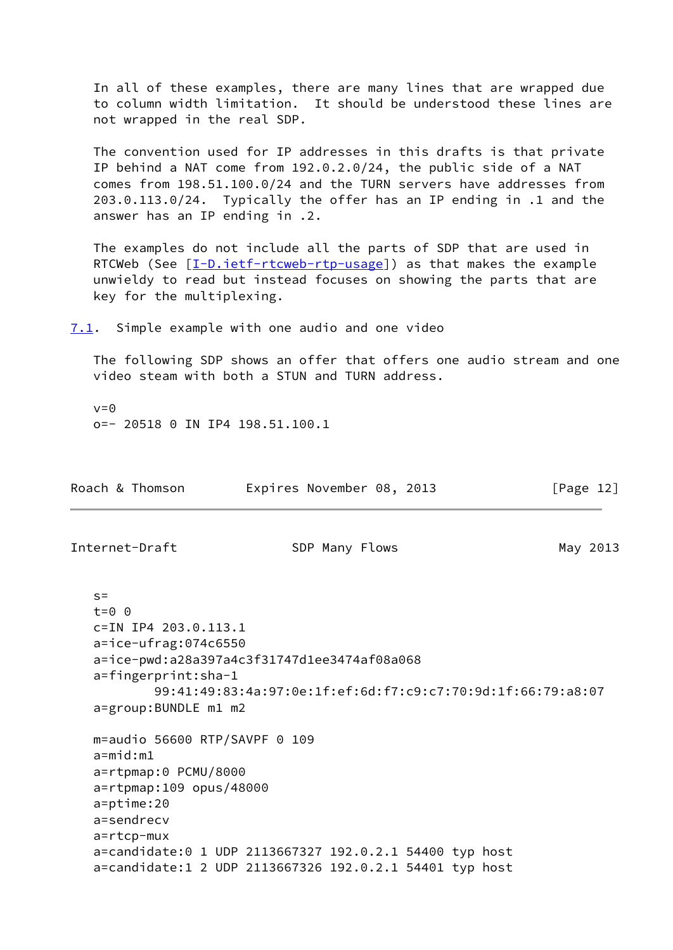In all of these examples, there are many lines that are wrapped due to column width limitation. It should be understood these lines are not wrapped in the real SDP.

 The convention used for IP addresses in this drafts is that private IP behind a NAT come from 192.0.2.0/24, the public side of a NAT comes from 198.51.100.0/24 and the TURN servers have addresses from 203.0.113.0/24. Typically the offer has an IP ending in .1 and the answer has an IP ending in .2.

 The examples do not include all the parts of SDP that are used in RTCWeb (See  $[I-D.iett-trcweb-trp-usage]$ ) as that makes the example unwieldy to read but instead focuses on showing the parts that are key for the multiplexing.

<span id="page-13-0"></span>[7.1](#page-13-0). Simple example with one audio and one video

 The following SDP shows an offer that offers one audio stream and one video steam with both a STUN and TURN address.

 $v=0$ o=- 20518 0 IN IP4 198.51.100.1

| Roach & Thomson                                                                                                                                            | Expires November 08, 2013                                                                                          | [Page $12$ ] |
|------------------------------------------------------------------------------------------------------------------------------------------------------------|--------------------------------------------------------------------------------------------------------------------|--------------|
| Internet-Draft                                                                                                                                             | SDP Many Flows                                                                                                     | May 2013     |
| $S =$<br>$t=0$ $\theta$<br>$c=IN$ IP4 203.0.113.1<br>a=ice-ufrag:074c6550<br>a=fingerprint:sha-1<br>a=group: BUNDLE m1 m2                                  | a=ice-pwd:a28a397a4c3f31747d1ee3474af08a068<br>99:41:49:83:4a:97:0e:1f:ef:6d:f7:c9:c7:70:9d:1f:66:79:a8:07         |              |
| $m =$ audio 56600 RTP/SAVPF 0 109<br>$a = mid: m1$<br>a=rtpmap:0 PCMU/8000<br>a=rtpmap:109 opus/48000<br>a=ptime:20<br>a=sendrecv<br>$a = r t c p - m u x$ | a=candidate:0 1 UDP 2113667327 192.0.2.1 54400 typ host<br>a=candidate:1 2 UDP 2113667326 192.0.2.1 54401 typ host |              |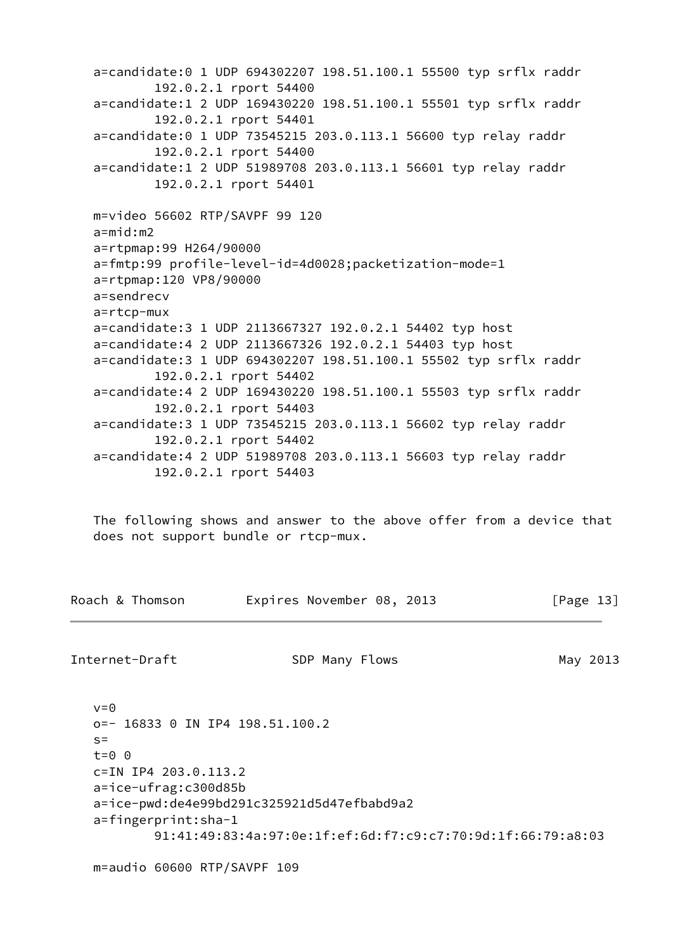```
 a=candidate:0 1 UDP 694302207 198.51.100.1 55500 typ srflx raddr
         192.0.2.1 rport 54400
 a=candidate:1 2 UDP 169430220 198.51.100.1 55501 typ srflx raddr
         192.0.2.1 rport 54401
 a=candidate:0 1 UDP 73545215 203.0.113.1 56600 typ relay raddr
         192.0.2.1 rport 54400
 a=candidate:1 2 UDP 51989708 203.0.113.1 56601 typ relay raddr
         192.0.2.1 rport 54401
 m=video 56602 RTP/SAVPF 99 120
 a=mid:m2
 a=rtpmap:99 H264/90000
 a=fmtp:99 profile-level-id=4d0028;packetization-mode=1
 a=rtpmap:120 VP8/90000
 a=sendrecv
 a=rtcp-mux
 a=candidate:3 1 UDP 2113667327 192.0.2.1 54402 typ host
 a=candidate:4 2 UDP 2113667326 192.0.2.1 54403 typ host
 a=candidate:3 1 UDP 694302207 198.51.100.1 55502 typ srflx raddr
         192.0.2.1 rport 54402
 a=candidate:4 2 UDP 169430220 198.51.100.1 55503 typ srflx raddr
         192.0.2.1 rport 54403
 a=candidate:3 1 UDP 73545215 203.0.113.1 56602 typ relay raddr
         192.0.2.1 rport 54402
 a=candidate:4 2 UDP 51989708 203.0.113.1 56603 typ relay raddr
         192.0.2.1 rport 54403
```
 The following shows and answer to the above offer from a device that does not support bundle or rtcp-mux.

|  |  | Roach & Thomson |  | Expires November 08, 2013 |  |  | [Page 13] |
|--|--|-----------------|--|---------------------------|--|--|-----------|
|--|--|-----------------|--|---------------------------|--|--|-----------|

 $v=0$ 

Internet-Draft SDP Many Flows SDP Many 2013

 o=- 16833 0 IN IP4 198.51.100.2  $s=$  t=0 0 c=IN IP4 203.0.113.2 a=ice-ufrag:c300d85b a=ice-pwd:de4e99bd291c325921d5d47efbabd9a2 a=fingerprint:sha-1 91:41:49:83:4a:97:0e:1f:ef:6d:f7:c9:c7:70:9d:1f:66:79:a8:03

m=audio 60600 RTP/SAVPF 109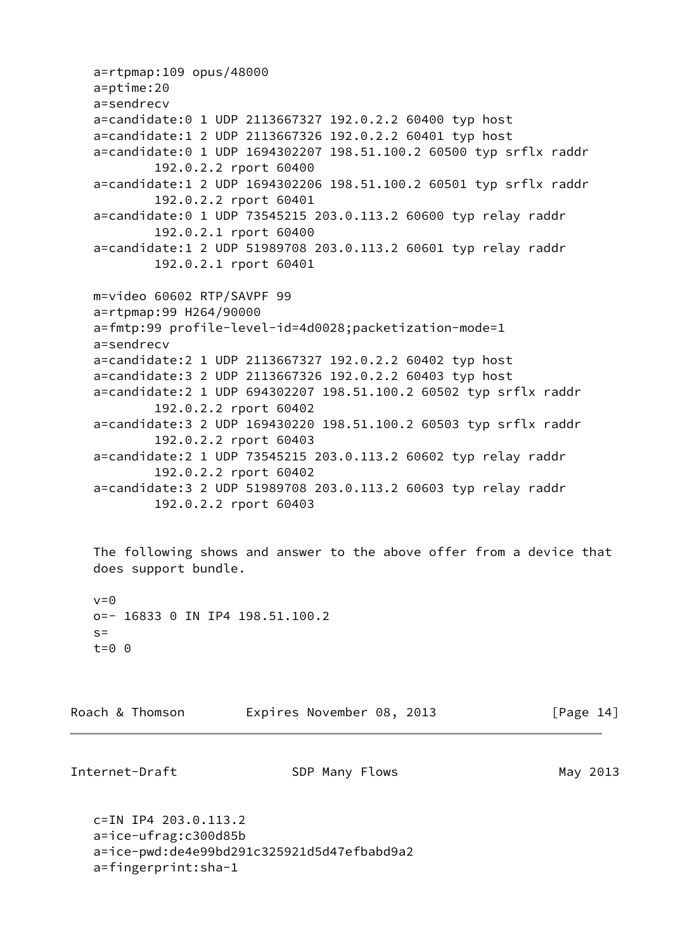```
 a=rtpmap:109 opus/48000
 a=ptime:20
 a=sendrecv
 a=candidate:0 1 UDP 2113667327 192.0.2.2 60400 typ host
 a=candidate:1 2 UDP 2113667326 192.0.2.2 60401 typ host
 a=candidate:0 1 UDP 1694302207 198.51.100.2 60500 typ srflx raddr
         192.0.2.2 rport 60400
 a=candidate:1 2 UDP 1694302206 198.51.100.2 60501 typ srflx raddr
         192.0.2.2 rport 60401
 a=candidate:0 1 UDP 73545215 203.0.113.2 60600 typ relay raddr
         192.0.2.1 rport 60400
 a=candidate:1 2 UDP 51989708 203.0.113.2 60601 typ relay raddr
         192.0.2.1 rport 60401
 m=video 60602 RTP/SAVPF 99
 a=rtpmap:99 H264/90000
 a=fmtp:99 profile-level-id=4d0028;packetization-mode=1
 a=sendrecv
 a=candidate:2 1 UDP 2113667327 192.0.2.2 60402 typ host
 a=candidate:3 2 UDP 2113667326 192.0.2.2 60403 typ host
 a=candidate:2 1 UDP 694302207 198.51.100.2 60502 typ srflx raddr
         192.0.2.2 rport 60402
 a=candidate:3 2 UDP 169430220 198.51.100.2 60503 typ srflx raddr
         192.0.2.2 rport 60403
 a=candidate:2 1 UDP 73545215 203.0.113.2 60602 typ relay raddr
         192.0.2.2 rport 60402
 a=candidate:3 2 UDP 51989708 203.0.113.2 60603 typ relay raddr
         192.0.2.2 rport 60403
```
 The following shows and answer to the above offer from a device that does support bundle.

```
v=0 o=- 16833 0 IN IP4 198.51.100.2
s= t=0 0
```

| Roach & Thomson | Expires November 08, 2013 | [Page 14] |
|-----------------|---------------------------|-----------|
|-----------------|---------------------------|-----------|

```
Internet-Draft SDP Many Flows SDP Many 2013
```

```
 c=IN IP4 203.0.113.2
 a=ice-ufrag:c300d85b
 a=ice-pwd:de4e99bd291c325921d5d47efbabd9a2
 a=fingerprint:sha-1
```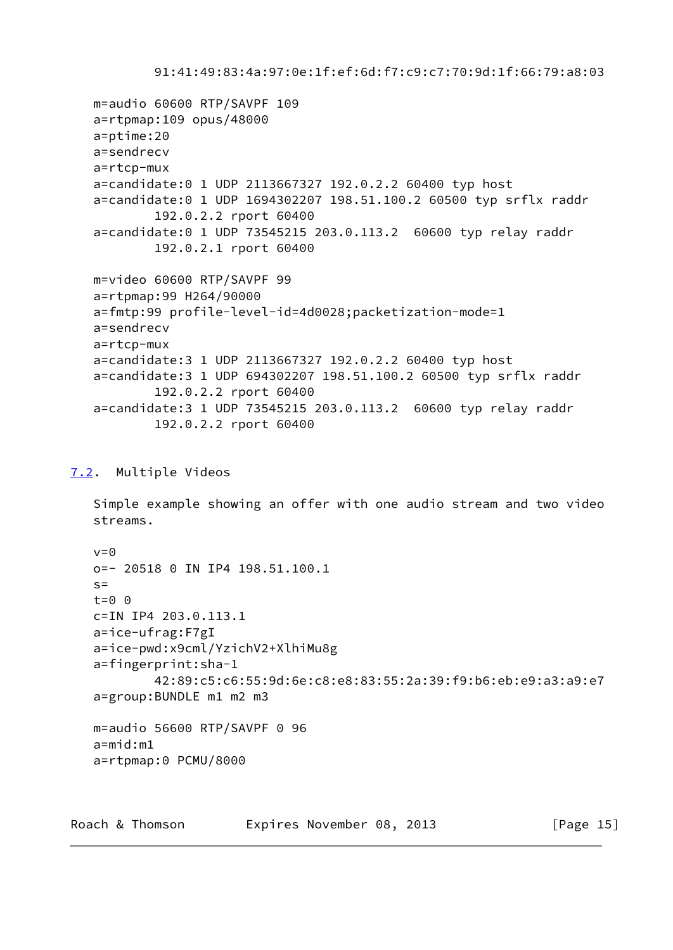91:41:49:83:4a:97:0e:1f:ef:6d:f7:c9:c7:70:9d:1f:66:79:a8:03

```
 m=audio 60600 RTP/SAVPF 109
 a=rtpmap:109 opus/48000
 a=ptime:20
 a=sendrecv
 a=rtcp-mux
 a=candidate:0 1 UDP 2113667327 192.0.2.2 60400 typ host
 a=candidate:0 1 UDP 1694302207 198.51.100.2 60500 typ srflx raddr
         192.0.2.2 rport 60400
 a=candidate:0 1 UDP 73545215 203.0.113.2 60600 typ relay raddr
         192.0.2.1 rport 60400
 m=video 60600 RTP/SAVPF 99
 a=rtpmap:99 H264/90000
 a=fmtp:99 profile-level-id=4d0028;packetization-mode=1
 a=sendrecv
 a=rtcp-mux
 a=candidate:3 1 UDP 2113667327 192.0.2.2 60400 typ host
 a=candidate:3 1 UDP 694302207 198.51.100.2 60500 typ srflx raddr
         192.0.2.2 rport 60400
 a=candidate:3 1 UDP 73545215 203.0.113.2 60600 typ relay raddr
         192.0.2.2 rport 60400
```
## <span id="page-16-0"></span>[7.2](#page-16-0). Multiple Videos

 Simple example showing an offer with one audio stream and two video streams.

```
v = \Theta o=- 20518 0 IN IP4 198.51.100.1
S=t=0 \theta c=IN IP4 203.0.113.1
 a=ice-ufrag:F7gI
 a=ice-pwd:x9cml/YzichV2+XlhiMu8g
 a=fingerprint:sha-1
         42:89:c5:c6:55:9d:6e:c8:e8:83:55:2a:39:f9:b6:eb:e9:a3:a9:e7
 a=group:BUNDLE m1 m2 m3
 m=audio 56600 RTP/SAVPF 0 96
 a=mid:m1
 a=rtpmap:0 PCMU/8000
```
Roach & Thomson **Expires November 08, 2013** [Page 15]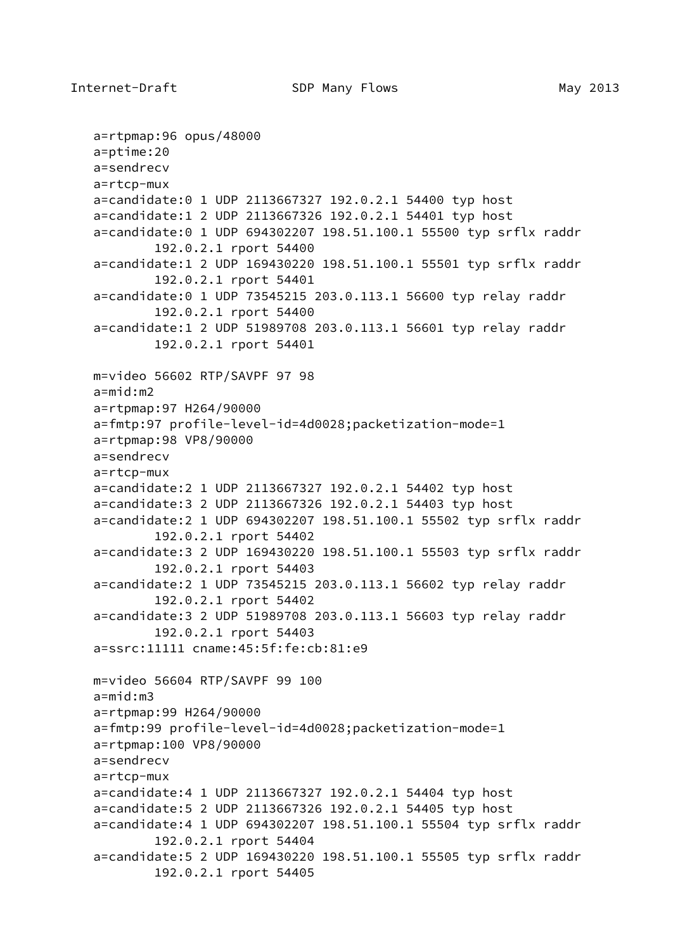```
 a=rtpmap:96 opus/48000
 a=ptime:20
 a=sendrecv
 a=rtcp-mux
 a=candidate:0 1 UDP 2113667327 192.0.2.1 54400 typ host
 a=candidate:1 2 UDP 2113667326 192.0.2.1 54401 typ host
 a=candidate:0 1 UDP 694302207 198.51.100.1 55500 typ srflx raddr
         192.0.2.1 rport 54400
 a=candidate:1 2 UDP 169430220 198.51.100.1 55501 typ srflx raddr
         192.0.2.1 rport 54401
 a=candidate:0 1 UDP 73545215 203.0.113.1 56600 typ relay raddr
         192.0.2.1 rport 54400
 a=candidate:1 2 UDP 51989708 203.0.113.1 56601 typ relay raddr
         192.0.2.1 rport 54401
 m=video 56602 RTP/SAVPF 97 98
 a=mid:m2
 a=rtpmap:97 H264/90000
 a=fmtp:97 profile-level-id=4d0028;packetization-mode=1
 a=rtpmap:98 VP8/90000
 a=sendrecv
 a=rtcp-mux
 a=candidate:2 1 UDP 2113667327 192.0.2.1 54402 typ host
 a=candidate:3 2 UDP 2113667326 192.0.2.1 54403 typ host
 a=candidate:2 1 UDP 694302207 198.51.100.1 55502 typ srflx raddr
         192.0.2.1 rport 54402
 a=candidate:3 2 UDP 169430220 198.51.100.1 55503 typ srflx raddr
         192.0.2.1 rport 54403
 a=candidate:2 1 UDP 73545215 203.0.113.1 56602 typ relay raddr
         192.0.2.1 rport 54402
 a=candidate:3 2 UDP 51989708 203.0.113.1 56603 typ relay raddr
         192.0.2.1 rport 54403
 a=ssrc:11111 cname:45:5f:fe:cb:81:e9
 m=video 56604 RTP/SAVPF 99 100
 a=mid:m3
 a=rtpmap:99 H264/90000
 a=fmtp:99 profile-level-id=4d0028;packetization-mode=1
 a=rtpmap:100 VP8/90000
 a=sendrecv
 a=rtcp-mux
 a=candidate:4 1 UDP 2113667327 192.0.2.1 54404 typ host
 a=candidate:5 2 UDP 2113667326 192.0.2.1 54405 typ host
 a=candidate:4 1 UDP 694302207 198.51.100.1 55504 typ srflx raddr
         192.0.2.1 rport 54404
 a=candidate:5 2 UDP 169430220 198.51.100.1 55505 typ srflx raddr
         192.0.2.1 rport 54405
```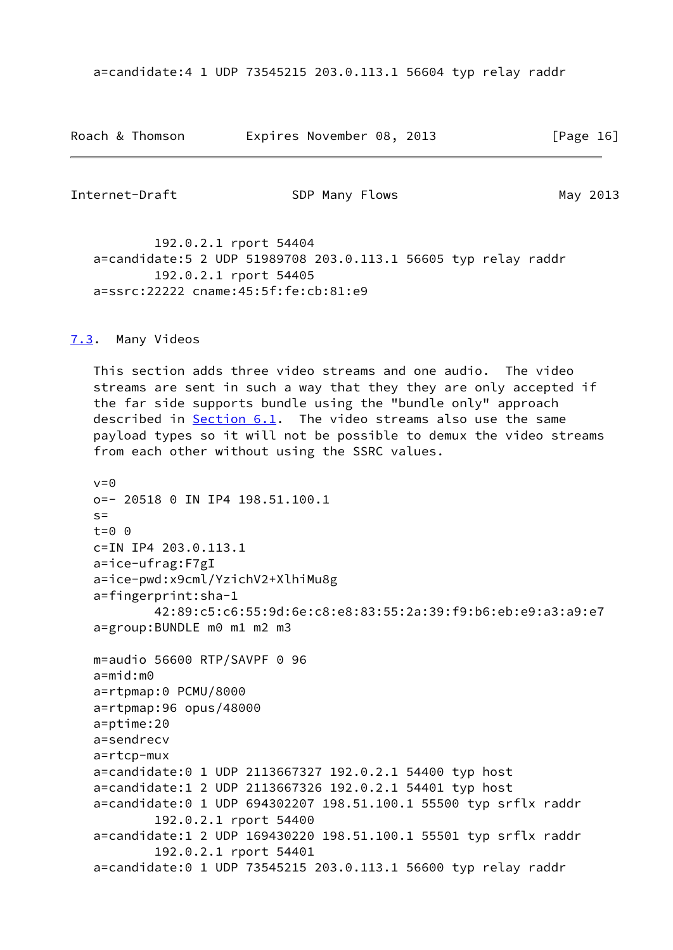a=candidate:4 1 UDP 73545215 203.0.113.1 56604 typ relay raddr

| Roach & Thomson | Expires November 08, 2013 |  |  |  | [Page 16] |  |
|-----------------|---------------------------|--|--|--|-----------|--|
|-----------------|---------------------------|--|--|--|-----------|--|

<span id="page-18-1"></span>Internet-Draft SDP Many Flows SDP Many 2013

 192.0.2.1 rport 54404 a=candidate:5 2 UDP 51989708 203.0.113.1 56605 typ relay raddr 192.0.2.1 rport 54405 a=ssrc:22222 cname:45:5f:fe:cb:81:e9

### <span id="page-18-0"></span>[7.3](#page-18-0). Many Videos

 This section adds three video streams and one audio. The video streams are sent in such a way that they they are only accepted if the far side supports bundle using the "bundle only" approach described in [Section 6.1](#page-7-1). The video streams also use the same payload types so it will not be possible to demux the video streams from each other without using the SSRC values.

```
v = \Theta o=- 20518 0 IN IP4 198.51.100.1
S =t=0 \theta c=IN IP4 203.0.113.1
 a=ice-ufrag:F7gI
 a=ice-pwd:x9cml/YzichV2+XlhiMu8g
 a=fingerprint:sha-1
         42:89:c5:c6:55:9d:6e:c8:e8:83:55:2a:39:f9:b6:eb:e9:a3:a9:e7
 a=group:BUNDLE m0 m1 m2 m3
 m=audio 56600 RTP/SAVPF 0 96
 a=mid:m0
 a=rtpmap:0 PCMU/8000
 a=rtpmap:96 opus/48000
 a=ptime:20
 a=sendrecv
 a=rtcp-mux
 a=candidate:0 1 UDP 2113667327 192.0.2.1 54400 typ host
 a=candidate:1 2 UDP 2113667326 192.0.2.1 54401 typ host
 a=candidate:0 1 UDP 694302207 198.51.100.1 55500 typ srflx raddr
         192.0.2.1 rport 54400
 a=candidate:1 2 UDP 169430220 198.51.100.1 55501 typ srflx raddr
         192.0.2.1 rport 54401
 a=candidate:0 1 UDP 73545215 203.0.113.1 56600 typ relay raddr
```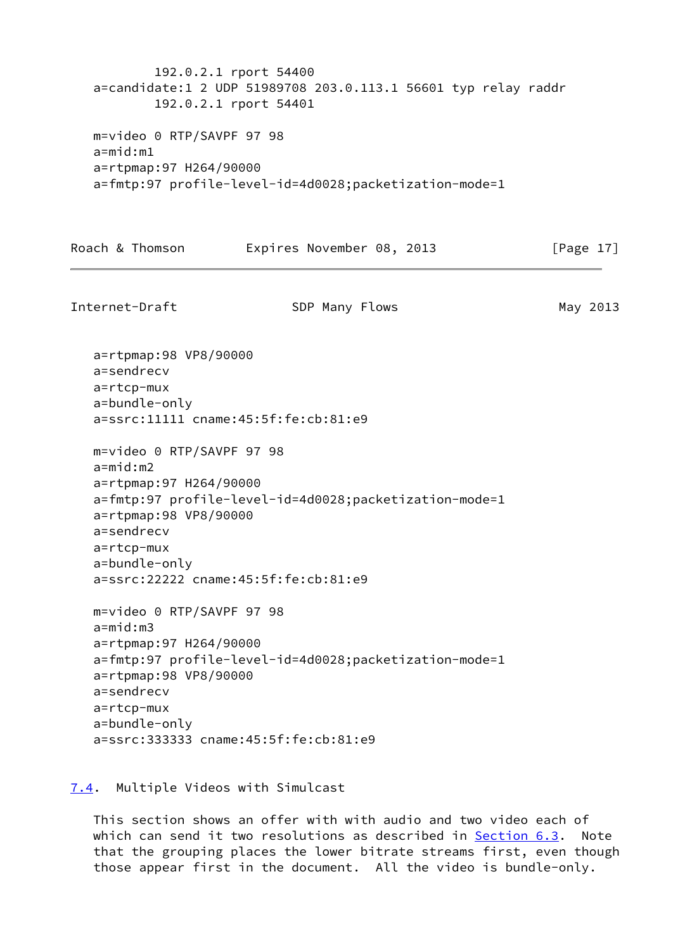192.0.2.1 rport 54400 a=candidate:1 2 UDP 51989708 203.0.113.1 56601 typ relay raddr 192.0.2.1 rport 54401 m=video 0 RTP/SAVPF 97 98 a=mid:m1 a=rtpmap:97 H264/90000 a=fmtp:97 profile-level-id=4d0028;packetization-mode=1

Roach & Thomson **Expires November 08, 2013** [Page 17]

<span id="page-19-1"></span>Internet-Draft SDP Many Flows SDP Many 2013 a=rtpmap:98 VP8/90000 a=sendrecv a=rtcp-mux a=bundle-only a=ssrc:11111 cname:45:5f:fe:cb:81:e9 m=video 0 RTP/SAVPF 97 98 a=mid:m2 a=rtpmap:97 H264/90000 a=fmtp:97 profile-level-id=4d0028;packetization-mode=1 a=rtpmap:98 VP8/90000 a=sendrecv a=rtcp-mux a=bundle-only a=ssrc:22222 cname:45:5f:fe:cb:81:e9 m=video 0 RTP/SAVPF 97 98 a=mid:m3 a=rtpmap:97 H264/90000 a=fmtp:97 profile-level-id=4d0028;packetization-mode=1 a=rtpmap:98 VP8/90000 a=sendrecv a=rtcp-mux a=bundle-only a=ssrc:333333 cname:45:5f:fe:cb:81:e9

<span id="page-19-0"></span>[7.4](#page-19-0). Multiple Videos with Simulcast

 This section shows an offer with with audio and two video each of which can send it two resolutions as described in [Section 6.3](#page-11-0). Note that the grouping places the lower bitrate streams first, even though those appear first in the document. All the video is bundle-only.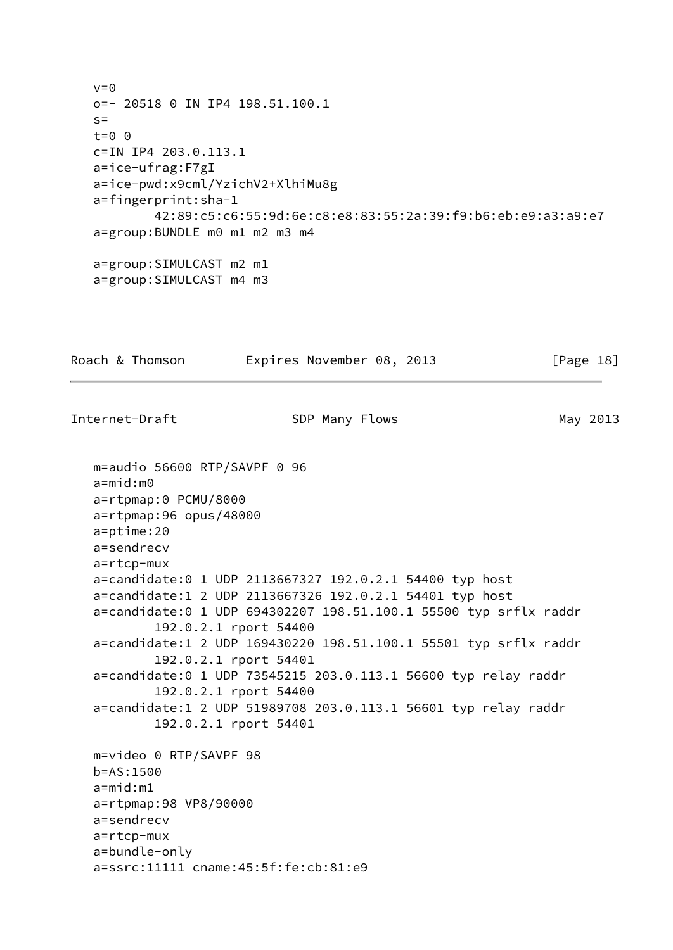$v = 0$  o=- 20518 0 IN IP4 198.51.100.1  $s=$  t=0 0 c=IN IP4 203.0.113.1 a=ice-ufrag:F7gI a=ice-pwd:x9cml/YzichV2+XlhiMu8g a=fingerprint:sha-1 42:89:c5:c6:55:9d:6e:c8:e8:83:55:2a:39:f9:b6:eb:e9:a3:a9:e7 a=group:BUNDLE m0 m1 m2 m3 m4 a=group:SIMULCAST m2 m1 a=group:SIMULCAST m4 m3 Roach & Thomson **Expires November 08, 2013** [Page 18] Internet-Draft SDP Many Flows SDP Many 2013 m=audio 56600 RTP/SAVPF 0 96 a=mid:m0 a=rtpmap:0 PCMU/8000 a=rtpmap:96 opus/48000 a=ptime:20 a=sendrecv a=rtcp-mux a=candidate:0 1 UDP 2113667327 192.0.2.1 54400 typ host a=candidate:1 2 UDP 2113667326 192.0.2.1 54401 typ host a=candidate:0 1 UDP 694302207 198.51.100.1 55500 typ srflx raddr 192.0.2.1 rport 54400 a=candidate:1 2 UDP 169430220 198.51.100.1 55501 typ srflx raddr 192.0.2.1 rport 54401 a=candidate:0 1 UDP 73545215 203.0.113.1 56600 typ relay raddr 192.0.2.1 rport 54400 a=candidate:1 2 UDP 51989708 203.0.113.1 56601 typ relay raddr 192.0.2.1 rport 54401 m=video 0 RTP/SAVPF 98 b=AS:1500 a=mid:m1 a=rtpmap:98 VP8/90000 a=sendrecv a=rtcp-mux a=bundle-only a=ssrc:11111 cname:45:5f:fe:cb:81:e9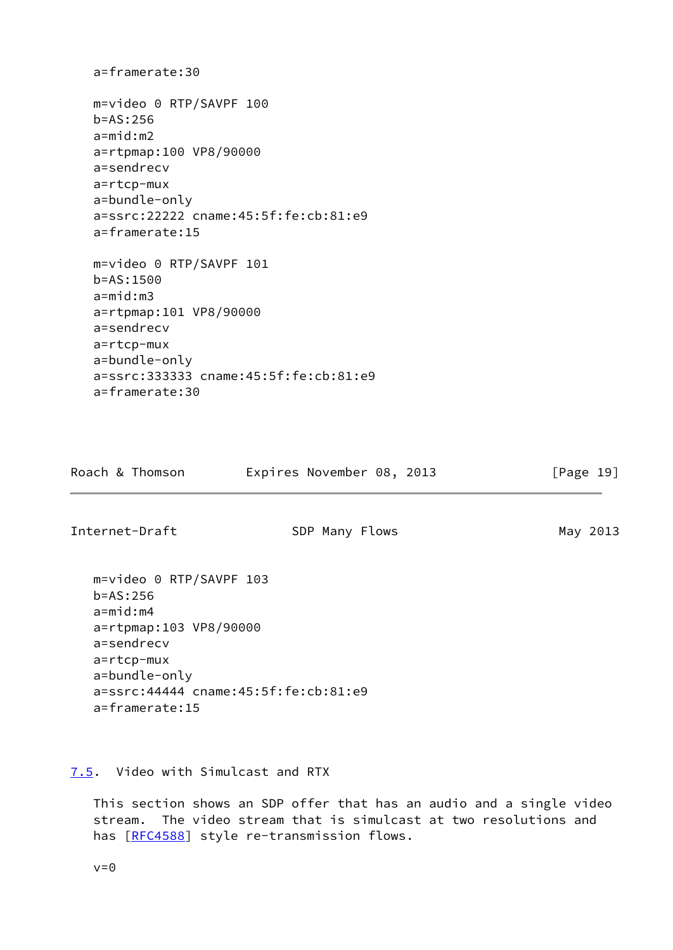```
 a=framerate:30
 m=video 0 RTP/SAVPF 100
 b=AS:256
 a=mid:m2
 a=rtpmap:100 VP8/90000
 a=sendrecv
 a=rtcp-mux
 a=bundle-only
 a=ssrc:22222 cname:45:5f:fe:cb:81:e9
 a=framerate:15
 m=video 0 RTP/SAVPF 101
 b=AS:1500
 a=mid:m3
 a=rtpmap:101 VP8/90000
 a=sendrecv
 a=rtcp-mux
 a=bundle-only
 a=ssrc:333333 cname:45:5f:fe:cb:81:e9
 a=framerate:30
```

| Expires November 08, 2013<br>Roach & Thomson |  |  |  |  |  |  |  | [Page 19] |  |
|----------------------------------------------|--|--|--|--|--|--|--|-----------|--|
|----------------------------------------------|--|--|--|--|--|--|--|-----------|--|

<span id="page-21-1"></span>Internet-Draft SDP Many Flows SDP Many 2013

 m=video 0 RTP/SAVPF 103 b=AS:256 a=mid:m4 a=rtpmap:103 VP8/90000 a=sendrecv a=rtcp-mux a=bundle-only a=ssrc:44444 cname:45:5f:fe:cb:81:e9 a=framerate:15

<span id="page-21-0"></span>[7.5](#page-21-0). Video with Simulcast and RTX

 This section shows an SDP offer that has an audio and a single video stream. The video stream that is simulcast at two resolutions and has [\[RFC4588](https://datatracker.ietf.org/doc/pdf/rfc4588)] style re-transmission flows.

 $v=0$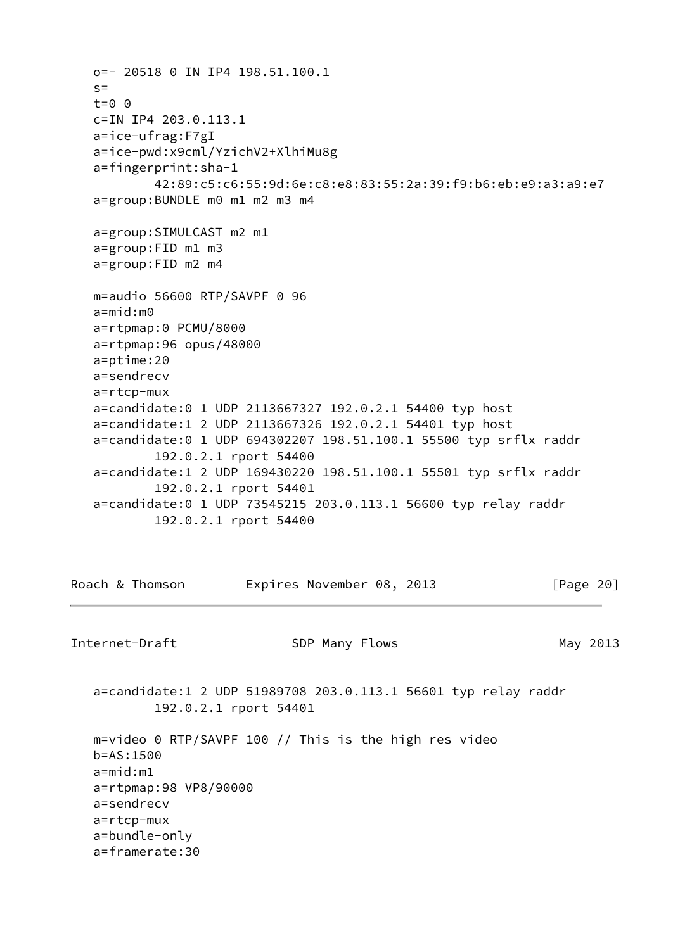```
 o=- 20518 0 IN IP4 198.51.100.1
   S = t=0 0
    c=IN IP4 203.0.113.1
    a=ice-ufrag:F7gI
    a=ice-pwd:x9cml/YzichV2+XlhiMu8g
    a=fingerprint:sha-1
            42:89:c5:c6:55:9d:6e:c8:e8:83:55:2a:39:f9:b6:eb:e9:a3:a9:e7
    a=group:BUNDLE m0 m1 m2 m3 m4
    a=group:SIMULCAST m2 m1
    a=group:FID m1 m3
    a=group:FID m2 m4
   m=audio 56600 RTP/SAVPF 0 96
    a=mid:m0
    a=rtpmap:0 PCMU/8000
    a=rtpmap:96 opus/48000
    a=ptime:20
    a=sendrecv
    a=rtcp-mux
    a=candidate:0 1 UDP 2113667327 192.0.2.1 54400 typ host
    a=candidate:1 2 UDP 2113667326 192.0.2.1 54401 typ host
    a=candidate:0 1 UDP 694302207 198.51.100.1 55500 typ srflx raddr
            192.0.2.1 rport 54400
   a=candidate:1 2 UDP 169430220 198.51.100.1 55501 typ srflx raddr
            192.0.2.1 rport 54401
    a=candidate:0 1 UDP 73545215 203.0.113.1 56600 typ relay raddr
            192.0.2.1 rport 54400
Roach & Thomson Expires November 08, 2013 [Page 20]
Internet-Draft SDP Many Flows SDP Many 2013
    a=candidate:1 2 UDP 51989708 203.0.113.1 56601 typ relay raddr
            192.0.2.1 rport 54401
   m=video 0 RTP/SAVPF 100 // This is the high res video
   b=AS:1500
    a=mid:m1
   a=rtpmap:98 VP8/90000
    a=sendrecv
    a=rtcp-mux
    a=bundle-only
```
<span id="page-22-0"></span>a=framerate:30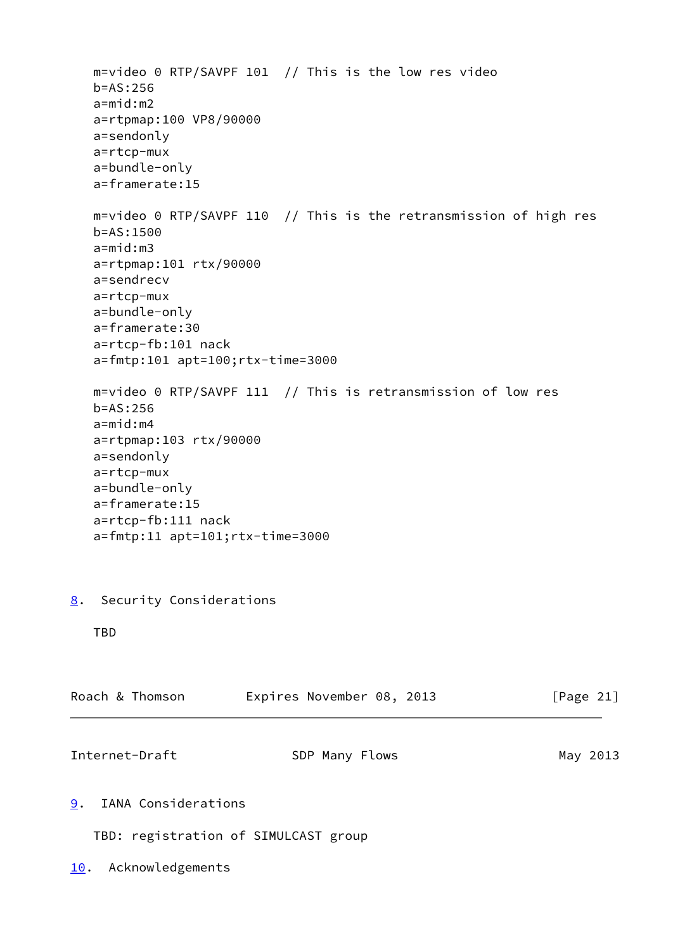<span id="page-23-3"></span><span id="page-23-2"></span><span id="page-23-1"></span><span id="page-23-0"></span> m=video 0 RTP/SAVPF 101 // This is the low res video b=AS:256 a=mid:m2 a=rtpmap:100 VP8/90000 a=sendonly a=rtcp-mux a=bundle-only a=framerate:15 m=video 0 RTP/SAVPF 110 // This is the retransmission of high res b=AS:1500 a=mid:m3 a=rtpmap:101 rtx/90000 a=sendrecv a=rtcp-mux a=bundle-only a=framerate:30 a=rtcp-fb:101 nack a=fmtp:101 apt=100;rtx-time=3000 m=video 0 RTP/SAVPF 111 // This is retransmission of low res b=AS:256 a=mid:m4 a=rtpmap:103 rtx/90000 a=sendonly a=rtcp-mux a=bundle-only a=framerate:15 a=rtcp-fb:111 nack a=fmtp:11 apt=101;rtx-time=3000 [8](#page-23-0). Security Considerations TBD Roach & Thomson Expires November 08, 2013 [Page 21] Internet-Draft SDP Many Flows SDP Many 2013 [9](#page-23-1). IANA Considerations TBD: registration of SIMULCAST group [10.](#page-23-3) Acknowledgements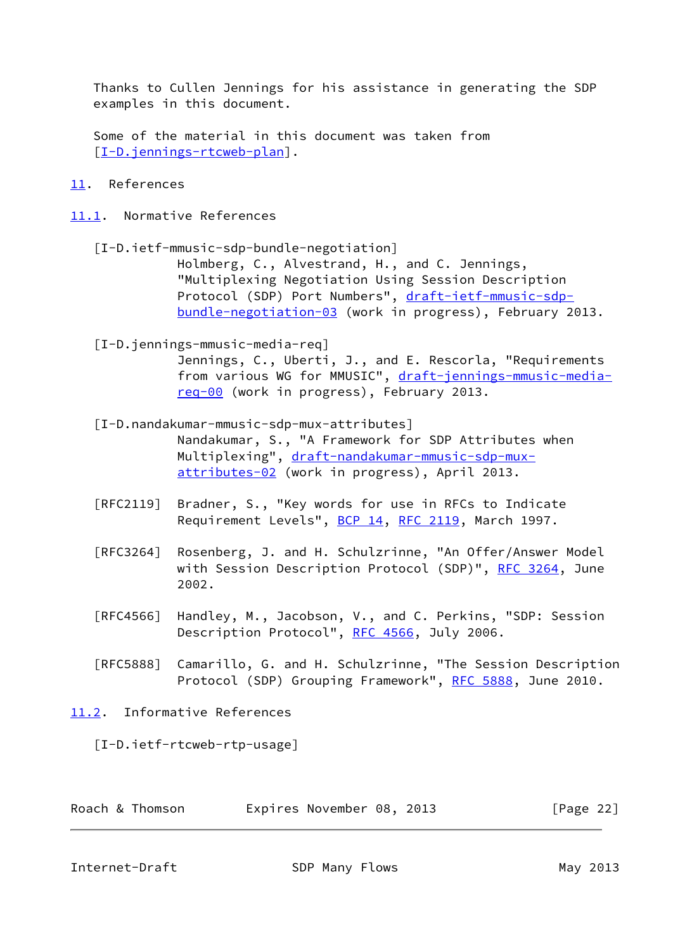Thanks to Cullen Jennings for his assistance in generating the SDP examples in this document.

 Some of the material in this document was taken from [\[I-D.jennings-rtcweb-plan](#page-25-2)].

- <span id="page-24-0"></span>[11.](#page-24-0) References
- <span id="page-24-5"></span><span id="page-24-4"></span><span id="page-24-1"></span>[11.1](#page-24-1). Normative References
	- [I-D.ietf-mmusic-sdp-bundle-negotiation] Holmberg, C., Alvestrand, H., and C. Jennings, "Multiplexing Negotiation Using Session Description Protocol (SDP) Port Numbers", [draft-ietf-mmusic-sdp](https://datatracker.ietf.org/doc/pdf/draft-ietf-mmusic-sdp-bundle-negotiation-03) [bundle-negotiation-03](https://datatracker.ietf.org/doc/pdf/draft-ietf-mmusic-sdp-bundle-negotiation-03) (work in progress), February 2013.
	- [I-D.jennings-mmusic-media-req] Jennings, C., Uberti, J., and E. Rescorla, "Requirements from various WG for MMUSIC", [draft-jennings-mmusic-media](https://datatracker.ietf.org/doc/pdf/draft-jennings-mmusic-media-req-00) [req-00](https://datatracker.ietf.org/doc/pdf/draft-jennings-mmusic-media-req-00) (work in progress), February 2013.
	- [I-D.nandakumar-mmusic-sdp-mux-attributes] Nandakumar, S., "A Framework for SDP Attributes when Multiplexing", [draft-nandakumar-mmusic-sdp-mux](https://datatracker.ietf.org/doc/pdf/draft-nandakumar-mmusic-sdp-mux-attributes-02) [attributes-02](https://datatracker.ietf.org/doc/pdf/draft-nandakumar-mmusic-sdp-mux-attributes-02) (work in progress), April 2013.
	- [RFC2119] Bradner, S., "Key words for use in RFCs to Indicate Requirement Levels", [BCP 14](https://datatracker.ietf.org/doc/pdf/bcp14), [RFC 2119](https://datatracker.ietf.org/doc/pdf/rfc2119), March 1997.
	- [RFC3264] Rosenberg, J. and H. Schulzrinne, "An Offer/Answer Model with Session Description Protocol (SDP)", [RFC 3264](https://datatracker.ietf.org/doc/pdf/rfc3264), June 2002.
	- [RFC4566] Handley, M., Jacobson, V., and C. Perkins, "SDP: Session Description Protocol", [RFC 4566](https://datatracker.ietf.org/doc/pdf/rfc4566), July 2006.
	- [RFC5888] Camarillo, G. and H. Schulzrinne, "The Session Description Protocol (SDP) Grouping Framework", [RFC 5888,](https://datatracker.ietf.org/doc/pdf/rfc5888) June 2010.
- <span id="page-24-2"></span>[11.2](#page-24-2). Informative References

<span id="page-24-6"></span>[I-D.ietf-rtcweb-rtp-usage]

Roach & Thomson **Expires November 08, 2013** [Page 22]

<span id="page-24-3"></span>Internet-Draft SDP Many Flows SDP Many 2013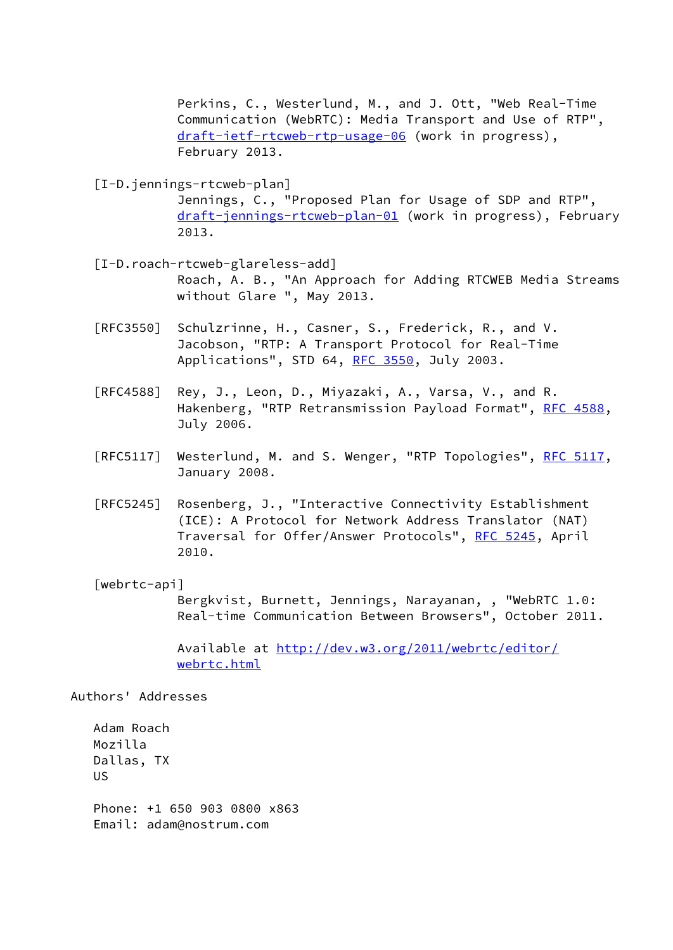Perkins, C., Westerlund, M., and J. Ott, "Web Real-Time Communication (WebRTC): Media Transport and Use of RTP", [draft-ietf-rtcweb-rtp-usage-06](https://datatracker.ietf.org/doc/pdf/draft-ietf-rtcweb-rtp-usage-06) (work in progress), February 2013.

<span id="page-25-2"></span>[I-D.jennings-rtcweb-plan]

 Jennings, C., "Proposed Plan for Usage of SDP and RTP", [draft-jennings-rtcweb-plan-01](https://datatracker.ietf.org/doc/pdf/draft-jennings-rtcweb-plan-01) (work in progress), February 2013.

- <span id="page-25-1"></span> [I-D.roach-rtcweb-glareless-add] Roach, A. B., "An Approach for Adding RTCWEB Media Streams without Glare ", May 2013.
- [RFC3550] Schulzrinne, H., Casner, S., Frederick, R., and V. Jacobson, "RTP: A Transport Protocol for Real-Time Applications", STD 64, [RFC 3550](https://datatracker.ietf.org/doc/pdf/rfc3550), July 2003.
- [RFC4588] Rey, J., Leon, D., Miyazaki, A., Varsa, V., and R. Hakenberg, "RTP Retransmission Payload Format", [RFC 4588,](https://datatracker.ietf.org/doc/pdf/rfc4588) July 2006.
- [RFC5117] Westerlund, M. and S. Wenger, "RTP Topologies", [RFC 5117,](https://datatracker.ietf.org/doc/pdf/rfc5117) January 2008.
- [RFC5245] Rosenberg, J., "Interactive Connectivity Establishment (ICE): A Protocol for Network Address Translator (NAT) Traversal for Offer/Answer Protocols", [RFC 5245](https://datatracker.ietf.org/doc/pdf/rfc5245), April 2010.

#### <span id="page-25-0"></span>[webrtc-api]

 Bergkvist, Burnett, Jennings, Narayanan, , "WebRTC 1.0: Real-time Communication Between Browsers", October 2011.

 Available at [http://dev.w3.org/2011/webrtc/editor/](http://dev.w3.org/2011/webrtc/editor/webrtc.html) [webrtc.html](http://dev.w3.org/2011/webrtc/editor/webrtc.html)

Authors' Addresses

 Adam Roach Mozilla Dallas, TX US Phone: +1 650 903 0800 x863 Email: adam@nostrum.com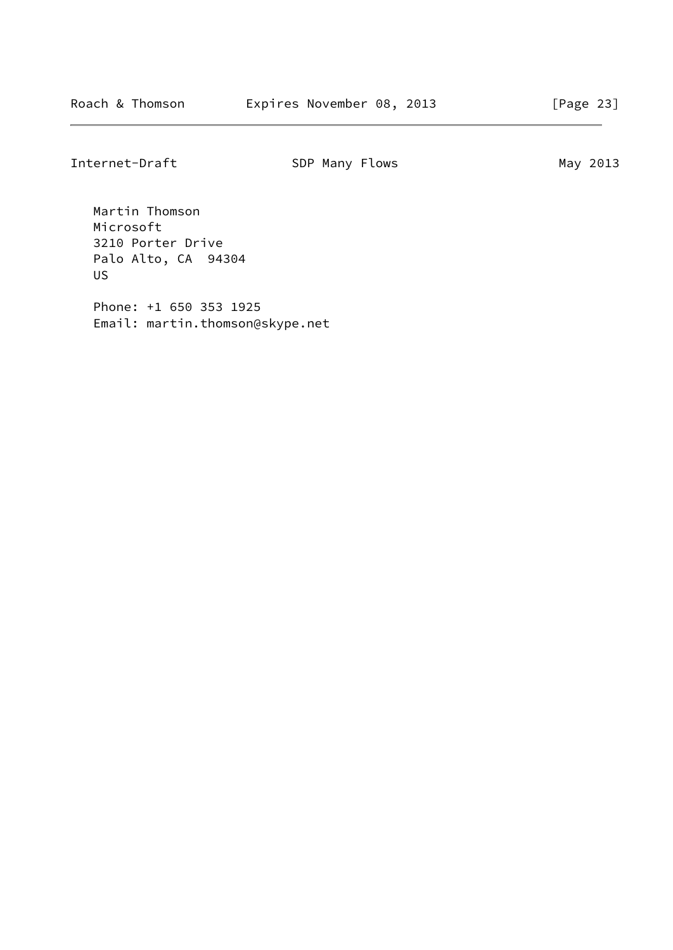Internet-Draft SDP Many Flows SDP Many 2013

 Martin Thomson Microsoft 3210 Porter Drive Palo Alto, CA 94304 US

 Phone: +1 650 353 1925 Email: martin.thomson@skype.net